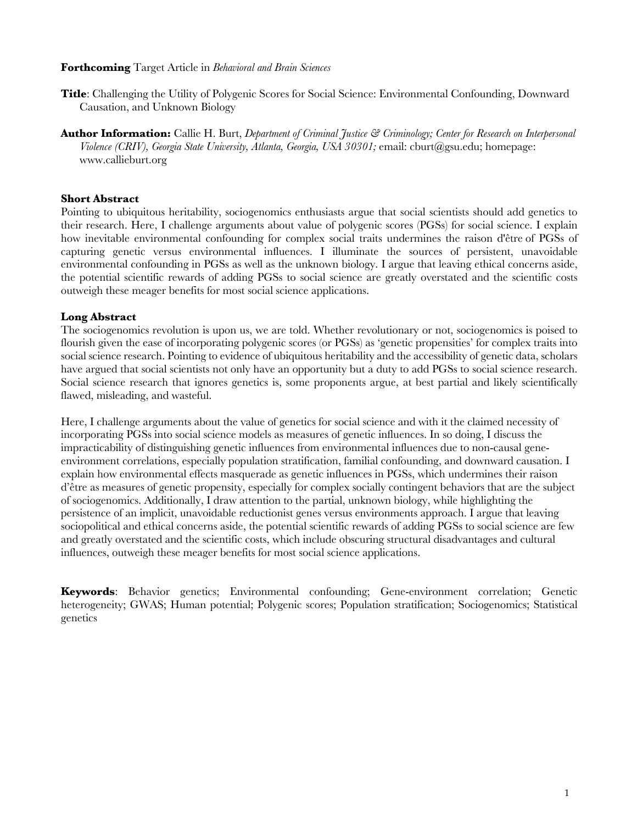#### **Forthcoming** Target Article in *Behavioral and Brain Sciences*

- **Title**: Challenging the Utility of Polygenic Scores for Social Science: Environmental Confounding, Downward Causation, and Unknown Biology
- **Author Information:** Callie H. Burt, *Department of Criminal Justice & Criminology; Center for Research on Interpersonal Violence (CRIV), Georgia State University, Atlanta, Georgia, USA 30301;* email: cburt@gsu.edu; homepage: www.callieburt.org

#### **Short Abstract**

Pointing to ubiquitous heritability, sociogenomics enthusiasts argue that social scientists should add genetics to their research. Here, I challenge arguments about value of polygenic scores (PGSs) for social science. I explain how inevitable environmental confounding for complex social traits undermines the raison d'être of PGSs of capturing genetic versus environmental influences. I illuminate the sources of persistent, unavoidable environmental confounding in PGSs as well as the unknown biology. I argue that leaving ethical concerns aside, the potential scientific rewards of adding PGSs to social science are greatly overstated and the scientific costs outweigh these meager benefits for most social science applications.

# **Long Abstract**

The sociogenomics revolution is upon us, we are told. Whether revolutionary or not, sociogenomics is poised to flourish given the ease of incorporating polygenic scores (or PGSs) as 'genetic propensities' for complex traits into social science research. Pointing to evidence of ubiquitous heritability and the accessibility of genetic data, scholars have argued that social scientists not only have an opportunity but a duty to add PGSs to social science research. Social science research that ignores genetics is, some proponents argue, at best partial and likely scientifically flawed, misleading, and wasteful.

Here, I challenge arguments about the value of genetics for social science and with it the claimed necessity of incorporating PGSs into social science models as measures of genetic influences. In so doing, I discuss the impracticability of distinguishing genetic influences from environmental influences due to non-causal geneenvironment correlations, especially population stratification, familial confounding, and downward causation. I explain how environmental effects masquerade as genetic influences in PGSs, which undermines their raison d'être as measures of genetic propensity, especially for complex socially contingent behaviors that are the subject of sociogenomics. Additionally, I draw attention to the partial, unknown biology, while highlighting the persistence of an implicit, unavoidable reductionist genes versus environments approach. I argue that leaving sociopolitical and ethical concerns aside, the potential scientific rewards of adding PGSs to social science are few and greatly overstated and the scientific costs, which include obscuring structural disadvantages and cultural influences, outweigh these meager benefits for most social science applications.

**Keywords**: Behavior genetics; Environmental confounding; Gene-environment correlation; Genetic heterogeneity; GWAS; Human potential; Polygenic scores; Population stratification; Sociogenomics; Statistical genetics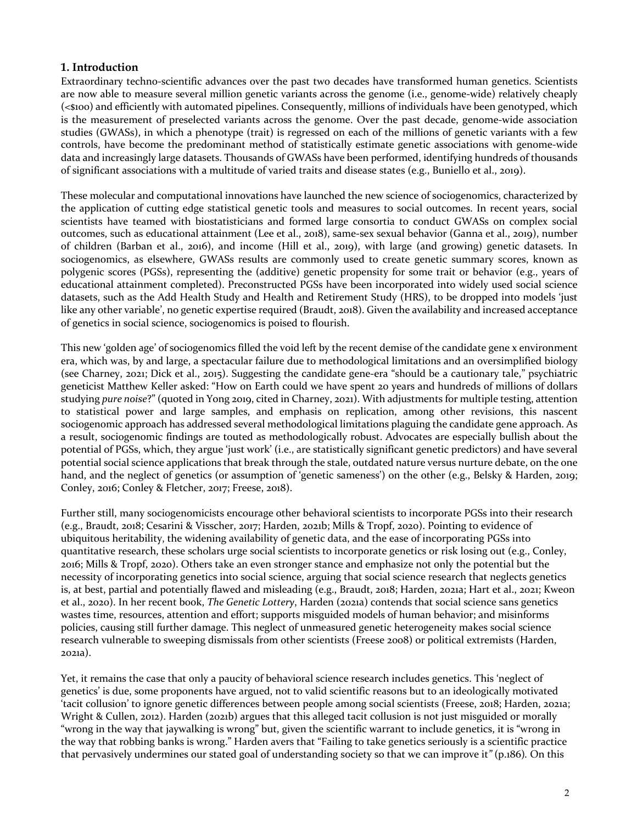# **1. Introduction**

Extraordinary techno-scientific advances over the past two decades have transformed human genetics. Scientists are now able to measure several million genetic variants across the genome (i.e., genome-wide) relatively cheaply (<\$100) and efficiently with automated pipelines. Consequently, millions of individuals have been genotyped, which is the measurement of preselected variants across the genome. Over the past decade, genome-wide association studies (GWASs), in which a phenotype (trait) is regressed on each of the millions of genetic variants with a few controls, have become the predominant method of statistically estimate genetic associations with genome-wide data and increasingly large datasets. Thousands of GWASs have been performed, identifying hundreds of thousands of significant associations with a multitude of varied traits and disease states (e.g., Buniello et al., 2019).

These molecular and computational innovations have launched the new science of sociogenomics, characterized by the application of cutting edge statistical genetic tools and measures to social outcomes. In recent years, social scientists have teamed with biostatisticians and formed large consortia to conduct GWASs on complex social outcomes, such as educational attainment (Lee et al., 2018), same-sex sexual behavior (Ganna et al., 2019), number of children (Barban et al., 2016), and income (Hill et al., 2019), with large (and growing) genetic datasets. In sociogenomics, as elsewhere, GWASs results are commonly used to create genetic summary scores, known as polygenic scores (PGSs), representing the (additive) genetic propensity for some trait or behavior (e.g., years of educational attainment completed). Preconstructed PGSs have been incorporated into widely used social science datasets, such as the Add Health Study and Health and Retirement Study (HRS), to be dropped into models 'just like any other variable', no genetic expertise required (Braudt, 2018). Given the availability and increased acceptance of genetics in social science, sociogenomics is poised to flourish.

This new 'golden age' of sociogenomics filled the void left by the recent demise of the candidate gene x environment era, which was, by and large, a spectacular failure due to methodological limitations and an oversimplified biology (see Charney, 2021; Dick et al., 2015). Suggesting the candidate gene-era "should be a cautionary tale," psychiatric geneticist Matthew Keller asked: "How on Earth could we have spent 20 years and hundreds of millions of dollars studying *pure noise*?" (quoted in Yong 2019, cited in Charney, 2021). With adjustments for multiple testing, attention to statistical power and large samples, and emphasis on replication, among other revisions, this nascent sociogenomic approach has addressed several methodological limitations plaguing the candidate gene approach. As a result, sociogenomic findings are touted as methodologically robust. Advocates are especially bullish about the potential of PGSs, which, they argue 'just work' (i.e., are statistically significant genetic predictors) and have several potential social science applications that break through the stale, outdated nature versus nurture debate, on the one hand, and the neglect of genetics (or assumption of 'genetic sameness') on the other (e.g., Belsky & Harden, 2019; Conley, 2016; Conley & Fletcher, 2017; Freese, 2018).

Further still, many sociogenomicists encourage other behavioral scientists to incorporate PGSs into their research (e.g., Braudt, 2018; Cesarini & Visscher, 2017; Harden, 2021b; Mills & Tropf, 2020). Pointing to evidence of ubiquitous heritability, the widening availability of genetic data, and the ease of incorporating PGSs into quantitative research, these scholars urge social scientists to incorporate genetics or risk losing out (e.g., Conley, 2016; Mills & Tropf, 2020). Others take an even stronger stance and emphasize not only the potential but the necessity of incorporating genetics into social science, arguing that social science research that neglects genetics is, at best, partial and potentially flawed and misleading (e.g., Braudt, 2018; Harden, 2021a; Hart et al., 2021; Kweon et al., 2020). In her recent book, *The Genetic Lottery*, Harden (2021a) contends that social science sans genetics wastes time, resources, attention and effort; supports misguided models of human behavior; and misinforms policies, causing still further damage. This neglect of unmeasured genetic heterogeneity makes social science research vulnerable to sweeping dismissals from other scientists (Freese 2008) or political extremists (Harden, 2021a).

Yet, it remains the case that only a paucity of behavioral science research includes genetics. This 'neglect of genetics' is due, some proponents have argued, not to valid scientific reasons but to an ideologically motivated 'tacit collusion' to ignore genetic differences between people among social scientists (Freese, 2018; Harden, 2021a; Wright & Cullen, 2012). Harden (2021b) argues that this alleged tacit collusion is not just misguided or morally "wrong in the way that jaywalking is wrong" but, given the scientific warrant to include genetics, it is "wrong in the way that robbing banks is wrong." Harden avers that "Failing to take genetics seriously is a scientific practice that pervasively undermines our stated goal of understanding society so that we can improve it" (p.186). On this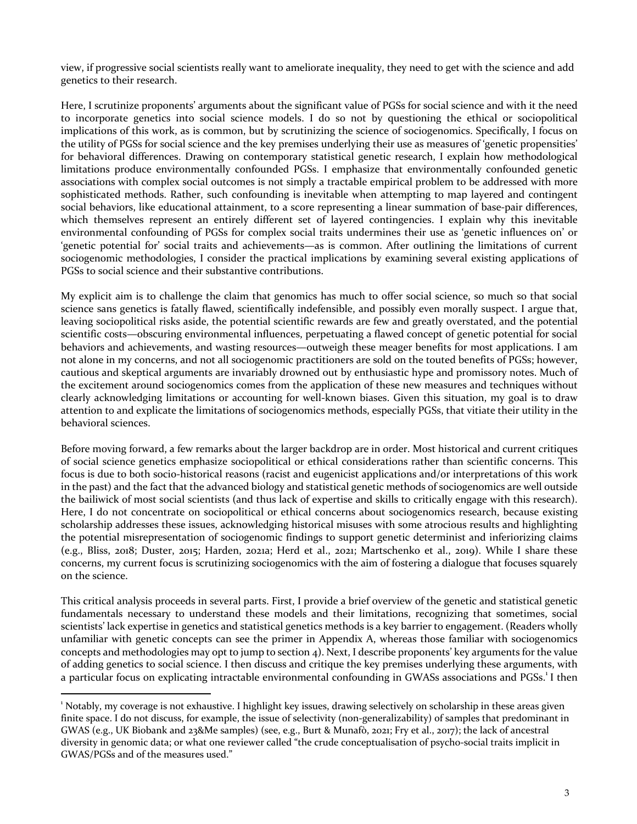view, if progressive social scientists really want to ameliorate inequality, they need to get with the science and add genetics to their research.

Here, I scrutinize proponents' arguments about the significant value of PGSs for social science and with it the need to incorporate genetics into social science models. I do so not by questioning the ethical or sociopolitical implications of this work, as is common, but by scrutinizing the science of sociogenomics. Specifically, I focus on the utility of PGSs for social science and the key premises underlying their use as measures of 'genetic propensities' for behavioral differences. Drawing on contemporary statistical genetic research, I explain how methodological limitations produce environmentally confounded PGSs. I emphasize that environmentally confounded genetic associations with complex social outcomes is not simply a tractable empirical problem to be addressed with more sophisticated methods. Rather, such confounding is inevitable when attempting to map layered and contingent social behaviors, like educational attainment, to a score representing a linear summation of base-pair differences, which themselves represent an entirely different set of layered contingencies. I explain why this inevitable environmental confounding of PGSs for complex social traits undermines their use as 'genetic influences on' or 'genetic potential for' social traits and achievements—as is common. After outlining the limitations of current sociogenomic methodologies, I consider the practical implications by examining several existing applications of PGSs to social science and their substantive contributions.

My explicit aim is to challenge the claim that genomics has much to offer social science, so much so that social science sans genetics is fatally flawed, scientifically indefensible, and possibly even morally suspect. I argue that, leaving sociopolitical risks aside, the potential scientific rewards are few and greatly overstated, and the potential scientific costs—obscuring environmental influences, perpetuating a flawed concept of genetic potential for social behaviors and achievements, and wasting resources—outweigh these meager benefits for most applications. I am not alone in my concerns, and not all sociogenomic practitioners are sold on the touted benefits of PGSs; however, cautious and skeptical arguments are invariably drowned out by enthusiastic hype and promissory notes. Much of the excitement around sociogenomics comes from the application of these new measures and techniques without clearly acknowledging limitations or accounting for well-known biases. Given this situation, my goal is to draw attention to and explicate the limitations of sociogenomics methods, especially PGSs, that vitiate their utility in the behavioral sciences.

Before moving forward, a few remarks about the larger backdrop are in order. Most historical and current critiques of social science genetics emphasize sociopolitical or ethical considerations rather than scientific concerns. This focus is due to both socio-historical reasons (racist and eugenicist applications and/or interpretations of this work in the past) and the fact that the advanced biology and statistical genetic methods of sociogenomics are well outside the bailiwick of most social scientists (and thus lack of expertise and skills to critically engage with this research). Here, I do not concentrate on sociopolitical or ethical concerns about sociogenomics research, because existing scholarship addresses these issues, acknowledging historical misuses with some atrocious results and highlighting the potential misrepresentation of sociogenomic findings to support genetic determinist and inferiorizing claims  $(e.g., \, Bliss, \, 2018; \, Duster, \, 2015; \, Harden, \, 2021a; \, Herd et al., \, 2021; \, Martschenko et al., \, 2019).$  While I share these concerns, my current focus is scrutinizing sociogenomics with the aim of fostering a dialogue that focuses squarely on the science.

This critical analysis proceeds in several parts. First, I provide a brief overview of the genetic and statistical genetic fundamentals necessary to understand these models and their limitations, recognizing that sometimes, social scientists' lack expertise in genetics and statistical genetics methods is a key barrier to engagement. (Readers wholly unfamiliar with genetic concepts can see the primer in Appendix A, whereas those familiar with sociogenomics concepts and methodologies may opt to jump to section  $4$ ). Next, I describe proponents' key arguments for the value of adding genetics to social science. I then discuss and critique the key premises underlying these arguments, with a particular focus on explicating intractable environmental confounding in GWASs associations and PGSs.<sup>1</sup> I then

 $1$  Notably, my coverage is not exhaustive. I highlight key issues, drawing selectively on scholarship in these areas given finite space. I do not discuss, for example, the issue of selectivity (non-generalizability) of samples that predominant in GWAS (e.g., UK Biobank and 23&Me samples) (see, e.g., Burt & Munafò, 2021; Fry et al., 2017); the lack of ancestral diversity in genomic data; or what one reviewer called "the crude conceptualisation of psycho-social traits implicit in GWAS/PGSs and of the measures used."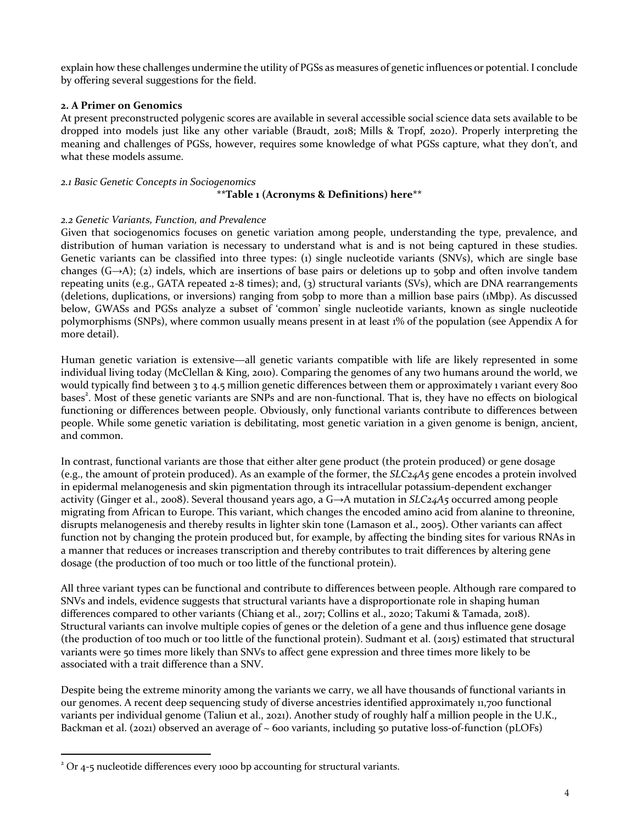explain how these challenges undermine the utility of PGSs as measures of genetic influences or potential. I conclude by offering several suggestions for the field.

#### **2. A Primer on Genomics**

At present preconstructed polygenic scores are available in several accessible social science data sets available to be dropped into models just like any other variable (Braudt, 2018; Mills & Tropf, 2020). Properly interpreting the meaning and challenges of PGSs, however, requires some knowledge of what PGSs capture, what they don't, and what these models assume.

#### *2.1 Basic Genetic Concepts in Sociogenomics* **\*\*Table 1 (Acronyms & Definitions) here\*\***

#### *2.2 Genetic Variants, Function, and Prevalence*

Given that sociogenomics focuses on genetic variation among people, understanding the type, prevalence, and distribution of human variation is necessary to understand what is and is not being captured in these studies. Genetic variants can be classified into three types:  $(i)$  single nucleotide variants  $(SNVs)$ , which are single base changes  $(G\rightarrow A)$ ; (2) indels, which are insertions of base pairs or deletions up to 50bp and often involve tandem repeating units  $(e.g., GATA$  repeated  $2-8$  times); and,  $(3)$  structural variants  $(SVs)$ , which are DNA rearrangements (deletions, duplications, or inversions) ranging from 50bp to more than a million base pairs (1Mbp). As discussed below, GWASs and PGSs analyze a subset of 'common' single nucleotide variants, known as single nucleotide polymorphisms (SNPs), where common usually means present in at least 1% of the population (see Appendix A for more detail).

Human genetic variation is extensive—all genetic variants compatible with life are likely represented in some individual living today (McClellan & King, 2010). Comparing the genomes of any two humans around the world, we would typically find between 3 to 4.5 million genetic differences between them or approximately 1 variant every 800 bases<sup>2</sup>. Most of these genetic variants are SNPs and are non-functional. That is, they have no effects on biological functioning or differences between people. Obviously, only functional variants contribute to differences between people. While some genetic variation is debilitating, most genetic variation in a given genome is benign, ancient, and common.

In contrast, functional variants are those that either alter gene product (the protein produced) or gene dosage (e.g., the amount of protein produced). As an example of the former, the  $SLC<sub>24</sub>A<sub>5</sub>$  gene encodes a protein involved in epidermal melanogenesis and skin pigmentation through its intracellular potassium-dependent exchanger activity (Ginger et al., 2008). Several thousand years ago, a  $G \rightarrow A$  mutation in *SLC24A5* occurred among people migrating from African to Europe. This variant, which changes the encoded amino acid from alanine to threonine, disrupts melanogenesis and thereby results in lighter skin tone (Lamason et al., 2005). Other variants can affect function not by changing the protein produced but, for example, by affecting the binding sites for various RNAs in a manner that reduces or increases transcription and thereby contributes to trait differences by altering gene dosage (the production of too much or too little of the functional protein).

All three variant types can be functional and contribute to differences between people. Although rare compared to SNVs and indels, evidence suggests that structural variants have a disproportionate role in shaping human differences compared to other variants (Chiang et al., 2017; Collins et al., 2020; Takumi & Tamada, 2018). Structural variants can involve multiple copies of genes or the deletion of a gene and thus influence gene dosage (the production of too much or too little of the functional protein). Sudmant et al.  $(2015)$  estimated that structural variants were 50 times more likely than SNVs to affect gene expression and three times more likely to be associated with a trait difference than a SNV.

Despite being the extreme minority among the variants we carry, we all have thousands of functional variants in our genomes. A recent deep sequencing study of diverse ancestries identified approximately 11,700 functional variants per individual genome (Taliun et al., 2021). Another study of roughly half a million people in the U.K., Backman et al. (2021) observed an average of  $\sim$  600 variants, including 50 putative loss-of-function (pLOFs)

 $2$  Or 4-5 nucleotide differences every 1000 bp accounting for structural variants.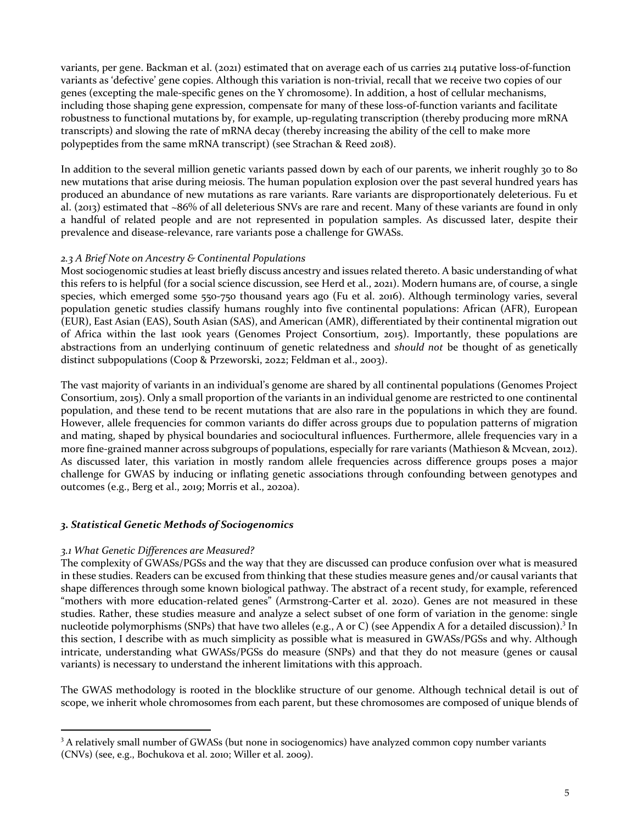variants, per gene. Backman et al. (2021) estimated that on average each of us carries 214 putative loss-of-function variants as 'defective' gene copies. Although this variation is non-trivial, recall that we receive two copies of our genes (excepting the male-specific genes on the Y chromosome). In addition, a host of cellular mechanisms, including those shaping gene expression, compensate for many of these loss-of-function variants and facilitate robustness to functional mutations by, for example, up-regulating transcription (thereby producing more mRNA transcripts) and slowing the rate of mRNA decay (thereby increasing the ability of the cell to make more polypeptides from the same mRNA transcript) (see Strachan & Reed 2018).

In addition to the several million genetic variants passed down by each of our parents, we inherit roughly 30 to 80 new mutations that arise during meiosis. The human population explosion over the past several hundred years has produced an abundance of new mutations as rare variants. Rare variants are disproportionately deleterious. Fu et al.  $(2013)$  estimated that  $\sim86\%$  of all deleterious SNVs are rare and recent. Many of these variants are found in only a handful of related people and are not represented in population samples. As discussed later, despite their prevalence and disease-relevance, rare variants pose a challenge for GWASs.

#### 2.3 *A* Brief Note on Ancestry & Continental Populations

Most sociogenomic studies at least briefly discuss ancestry and issues related thereto. A basic understanding of what this refers to is helpful (for a social science discussion, see Herd et al., 2021). Modern humans are, of course, a single species, which emerged some  $550-750$  thousand years ago (Fu et al. 2016). Although terminology varies, several population genetic studies classify humans roughly into five continental populations: African (AFR), European (EUR), East Asian (EAS), South Asian (SAS), and American (AMR), differentiated by their continental migration out of Africa within the last 100k years (Genomes Project Consortium, 2015). Importantly, these populations are abstractions from an underlying continuum of genetic relatedness and *should not* be thought of as genetically distinct subpopulations (Coop & Przeworski, 2022; Feldman et al., 2003).

The vast majority of variants in an individual's genome are shared by all continental populations (Genomes Project Consortium, 2015). Only a small proportion of the variants in an individual genome are restricted to one continental population, and these tend to be recent mutations that are also rare in the populations in which they are found. However, allele frequencies for common variants do differ across groups due to population patterns of migration and mating, shaped by physical boundaries and sociocultural influences. Furthermore, allele frequencies vary in a more fine-grained manner across subgroups of populations, especially for rare variants (Mathieson & Mcvean, 2012). As discussed later, this variation in mostly random allele frequencies across difference groups poses a major challenge for GWAS by inducing or inflating genetic associations through confounding between genotypes and outcomes (e.g., Berg et al., 2019; Morris et al., 2020a).

# *3. Statistical Genetic Methods of Sociogenomics*

#### *3.1 What Genetic Differences are Measured?*

The complexity of GWASs/PGSs and the way that they are discussed can produce confusion over what is measured in these studies. Readers can be excused from thinking that these studies measure genes and/or causal variants that shape differences through some known biological pathway. The abstract of a recent study, for example, referenced "mothers with more education-related genes" (Armstrong-Carter et al. 2020). Genes are not measured in these studies. Rather, these studies measure and analyze a select subset of one form of variation in the genome: single nucleotide polymorphisms (SNPs) that have two alleles (e.g., A or C) (see Appendix A for a detailed discussion).<sup>3</sup> In this section, I describe with as much simplicity as possible what is measured in GWASs/PGSs and why. Although intricate, understanding what GWASs/PGSs do measure (SNPs) and that they do not measure (genes or causal variants) is necessary to understand the inherent limitations with this approach.

The GWAS methodology is rooted in the blocklike structure of our genome. Although technical detail is out of scope, we inherit whole chromosomes from each parent, but these chromosomes are composed of unique blends of

<sup>&</sup>lt;sup>3</sup> A relatively small number of GWASs (but none in sociogenomics) have analyzed common copy number variants (CNVs) (see, e.g., Bochukova et al. 2010; Willer et al. 2009).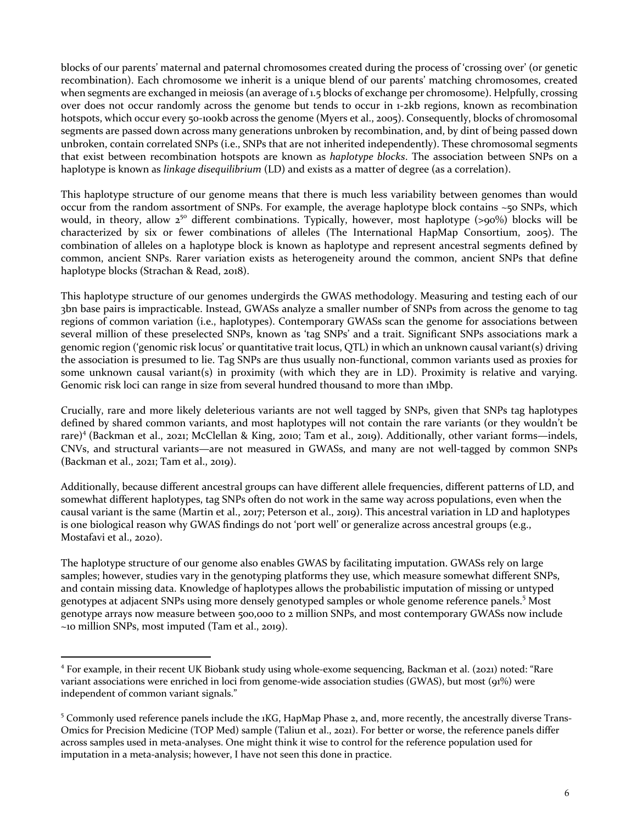blocks of our parents' maternal and paternal chromosomes created during the process of 'crossing over' (or genetic recombination). Each chromosome we inherit is a unique blend of our parents' matching chromosomes, created when segments are exchanged in meiosis (an average of 1.5 blocks of exchange per chromosome). Helpfully, crossing over does not occur randomly across the genome but tends to occur in 1-2kb regions, known as recombination hotspots, which occur every 50-100kb across the genome (Myers et al., 2005). Consequently, blocks of chromosomal segments are passed down across many generations unbroken by recombination, and, by dint of being passed down unbroken, contain correlated SNPs (i.e., SNPs that are not inherited independently). These chromosomal segments that exist between recombination hotspots are known as *haplotype blocks*. The association between SNPs on a haplotype is known as *linkage disequilibrium* (LD) and exists as a matter of degree (as a correlation).

This haplotype structure of our genome means that there is much less variability between genomes than would occur from the random assortment of SNPs. For example, the average haplotype block contains  $\sim$ 50 SNPs, which would, in theory, allow  $2^{50}$  different combinations. Typically, however, most haplotype  $(> 90\%)$  blocks will be characterized by six or fewer combinations of alleles (The International HapMap Consortium, 2005). The combination of alleles on a haplotype block is known as haplotype and represent ancestral segments defined by common, ancient SNPs. Rarer variation exists as heterogeneity around the common, ancient SNPs that define haplotype blocks (Strachan & Read, 2018).

This haplotype structure of our genomes undergirds the GWAS methodology. Measuring and testing each of our 3bn base pairs is impracticable. Instead, GWASs analyze a smaller number of SNPs from across the genome to tag regions of common variation (i.e., haplotypes). Contemporary GWASs scan the genome for associations between several million of these preselected SNPs, known as 'tag SNPs' and a trait. Significant SNPs associations mark a genomic region ('genomic risk locus' or quantitative trait locus, QTL) in which an unknown causal variant(s) driving the association is presumed to lie. Tag SNPs are thus usually non-functional, common variants used as proxies for some unknown causal variant(s) in proximity (with which they are in LD). Proximity is relative and varying. Genomic risk loci can range in size from several hundred thousand to more than 1Mbp.

Crucially, rare and more likely deleterious variants are not well tagged by SNPs, given that SNPs tag haplotypes defined by shared common variants, and most haplotypes will not contain the rare variants (or they wouldn't be rare)<sup>4</sup> (Backman et al., 2021; McClellan & King, 2010; Tam et al., 2019). Additionally, other variant forms—indels, CNVs, and structural variants—are not measured in GWASs, and many are not well-tagged by common SNPs  $(Backman et al., 2021; Tam et al., 2019).$ 

Additionally, because different ancestral groups can have different allele frequencies, different patterns of LD, and somewhat different haplotypes, tag SNPs often do not work in the same way across populations, even when the causal variant is the same (Martin et al., 2017; Peterson et al., 2019). This ancestral variation in LD and haplotypes is one biological reason why GWAS findings do not 'port well' or generalize across ancestral groups (e.g., Mostafavi et al., 2020).

The haplotype structure of our genome also enables GWAS by facilitating imputation. GWASs rely on large samples; however, studies vary in the genotyping platforms they use, which measure somewhat different SNPs, and contain missing data. Knowledge of haplotypes allows the probabilistic imputation of missing or untyped genotypes at adjacent SNPs using more densely genotyped samples or whole genome reference panels.<sup>5</sup> Most genotype arrays now measure between 500,000 to 2 million SNPs, and most contemporary GWASs now include  $\sim$ 10 million SNPs, most imputed (Tam et al., 2019).

<sup>&</sup>lt;sup>4</sup> For example, in their recent UK Biobank study using whole-exome sequencing, Backman et al. (2021) noted: "Rare variant associations were enriched in loci from genome-wide association studies (GWAS), but most (91%) were independent of common variant signals."

<sup>&</sup>lt;sup>5</sup> Commonly used reference panels include the 1KG, HapMap Phase 2, and, more recently, the ancestrally diverse Trans-Omics for Precision Medicine (TOP Med) sample (Taliun et al., 2021). For better or worse, the reference panels differ across samples used in meta-analyses. One might think it wise to control for the reference population used for imputation in a meta-analysis; however, I have not seen this done in practice.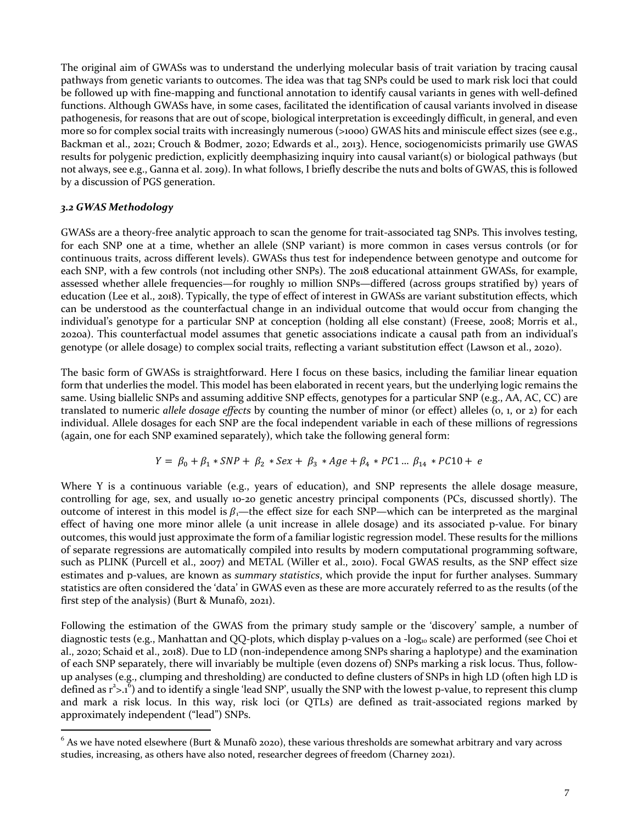The original aim of GWASs was to understand the underlying molecular basis of trait variation by tracing causal pathways from genetic variants to outcomes. The idea was that tag SNPs could be used to mark risk loci that could be followed up with fine-mapping and functional annotation to identify causal variants in genes with well-defined functions. Although GWASs have, in some cases, facilitated the identification of causal variants involved in disease pathogenesis, for reasons that are out of scope, biological interpretation is exceedingly difficult, in general, and even more so for complex social traits with increasingly numerous (>1000) GWAS hits and miniscule effect sizes (see e.g., Backman et al., 2021; Crouch & Bodmer, 2020; Edwards et al., 2013). Hence, sociogenomicists primarily use GWAS results for polygenic prediction, explicitly deemphasizing inquiry into causal variant(s) or biological pathways (but not always, see e.g., Ganna et al. 2019). In what follows, I briefly describe the nuts and bolts of GWAS, this is followed by a discussion of PGS generation.

# *3.2 GWAS Methodology*

GWASs are a theory-free analytic approach to scan the genome for trait-associated tag SNPs. This involves testing, for each SNP one at a time, whether an allele (SNP variant) is more common in cases versus controls (or for continuous traits, across different levels). GWASs thus test for independence between genotype and outcome for each SNP, with a few controls (not including other SNPs). The 2018 educational attainment GWASs, for example, assessed whether allele frequencies—for roughly 10 million SNPs—differed (across groups stratified by) years of education (Lee et al., 2018). Typically, the type of effect of interest in GWASs are variant substitution effects, which can be understood as the counterfactual change in an individual outcome that would occur from changing the individual's genotype for a particular SNP at conception (holding all else constant) (Freese, 2008; Morris et al., 2020a). This counterfactual model assumes that genetic associations indicate a causal path from an individual's genotype (or allele dosage) to complex social traits, reflecting a variant substitution effect (Lawson et al., 2020).

The basic form of GWASs is straightforward. Here I focus on these basics, including the familiar linear equation form that underlies the model. This model has been elaborated in recent years, but the underlying logic remains the same. Using biallelic SNPs and assuming additive SNP effects, genotypes for a particular SNP (e.g., AA, AC, CC) are translated to numeric *allele dosage effects* by counting the number of minor (or effect) alleles (0, 1, or 2) for each individual. Allele dosages for each SNP are the focal independent variable in each of these millions of regressions (again, one for each SNP examined separately), which take the following general form:

$$
Y = \beta_0 + \beta_1 * SNP + \beta_2 * Sex + \beta_3 * Age + \beta_4 * PC1 ... \beta_{14} * PC10 + e
$$

Where Y is a continuous variable (e.g., years of education), and SNP represents the allele dosage measure, controlling for age, sex, and usually 10-20 genetic ancestry principal components (PCs, discussed shortly). The outcome of interest in this model is  $\beta_1$ —the effect size for each SNP—which can be interpreted as the marginal effect of having one more minor allele (a unit increase in allele dosage) and its associated p-value. For binary outcomes, this would just approximate the form of a familiar logistic regression model. These results for the millions of separate regressions are automatically compiled into results by modern computational programming software, such as PLINK (Purcell et al., 2007) and METAL (Willer et al., 2010). Focal GWAS results, as the SNP effect size estimates and p-values, are known as *summary statistics*, which provide the input for further analyses. Summary statistics are often considered the 'data' in GWAS even as these are more accurately referred to as the results (of the first step of the analysis) (Burt & Munafò, 2021).

Following the estimation of the GWAS from the primary study sample or the 'discovery' sample, a number of diagnostic tests (e.g., Manhattan and QQ-plots, which display p-values on a -log<sub>10</sub> scale) are performed (see Choi et al., 2020; Schaid et al., 2018). Due to LD (non-independence among SNPs sharing a haplotype) and the examination of each SNP separately, there will invariably be multiple (even dozens of) SNPs marking a risk locus. Thus, followup analyses (e.g., clumping and thresholding) are conducted to define clusters of SNPs in high LD (often high LD is defined as  $r^2 > .1^6$ ) and to identify a single 'lead SNP', usually the SNP with the lowest p-value, to represent this clump and mark a risk locus. In this way, risk loci (or QTLs) are defined as trait-associated regions marked by approximately independent ("lead") SNPs.

 $^6$  As we have noted elsewhere (Burt & Munafò 2020), these various thresholds are somewhat arbitrary and vary across studies, increasing, as others have also noted, researcher degrees of freedom (Charney 2021).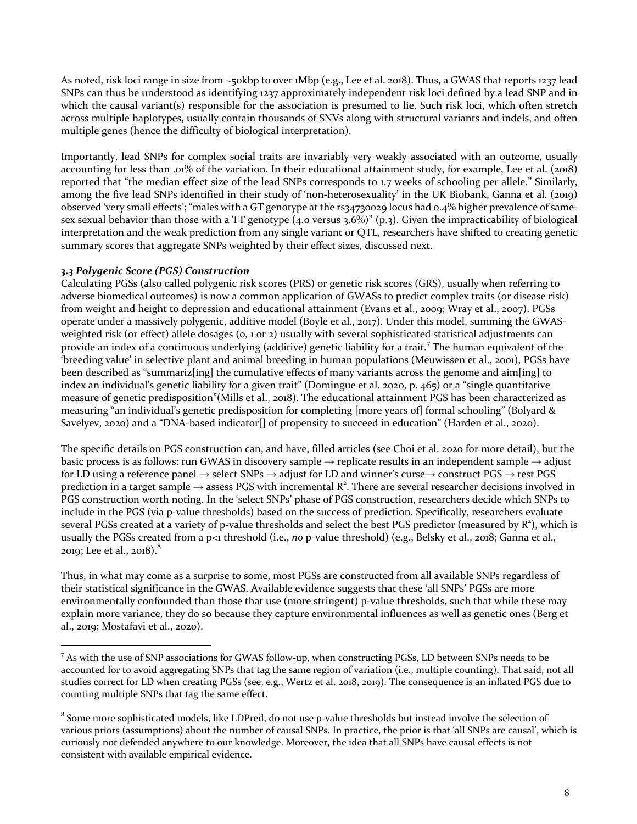As noted, risk loci range in size from ~50kbp to over 1Mbp (e.g., Lee et al. 2018). Thus, a GWAS that reports 1237 lead SNPs can thus be understood as identifying 1237 approximately independent risk loci defined by a lead SNP and in which the causal variant(s) responsible for the association is presumed to lie. Such risk loci, which often stretch across multiple haplotypes, usually contain thousands of SNVs along with structural variants and indels, and often multiple genes (hence the difficulty of biological interpretation).

Importantly, lead SNPs for complex social traits are invariably very weakly associated with an outcome, usually accounting for less than .01% of the variation. In their educational attainment study, for example, Lee et al. (2018) reported that "the median effect size of the lead SNPs corresponds to 1.7 weeks of schooling per allele." Similarly, among the five lead SNPs identified in their study of 'non-heterosexuality' in the UK Biobank, Ganna et al. (2019) observed 'very small effects'; "males with a GT genotype at the  $rs_34730029$  locus had 0.4% higher prevalence of samesex sexual behavior than those with a TT genotype  $(4.0 \text{ versus } 3.6\%)$ " (p.3). Given the impracticability of biological interpretation and the weak prediction from any single variant or QTL, researchers have shifted to creating genetic summary scores that aggregate SNPs weighted by their effect sizes, discussed next.

# *3.3 Polygenic Score (PGS) Construction*

Calculating PGSs (also called polygenic risk scores (PRS) or genetic risk scores (GRS), usually when referring to adverse biomedical outcomes) is now a common application of GWASs to predict complex traits (or disease risk) from weight and height to depression and educational attainment (Evans et al., 2009; Wray et al., 2007). PGSs operate under a massively polygenic, additive model (Boyle et al., 2017). Under this model, summing the GWASweighted risk (or effect) allele dosages  $(0, 1 \text{ or } 2)$  usually with several sophisticated statistical adjustments can provide an index of a continuous underlying (additive) genetic liability for a trait.<sup>7</sup> The human equivalent of the 'breeding value' in selective plant and animal breeding in human populations (Meuwissen et al., 2001), PGSs have been described as "summariz[ing] the cumulative effects of many variants across the genome and aim[ing] to index an individual's genetic liability for a given trait" (Domingue et al. 2020, p. 465) or a "single quantitative measure of genetic predisposition"(Mills et al., 2018). The educational attainment PGS has been characterized as measuring "an individual's genetic predisposition for completing [more years of] formal schooling" (Bolyard & Savelyev, 2020) and a "DNA-based indicator[] of propensity to succeed in education" (Harden et al., 2020).

The specific details on PGS construction can, and have, filled articles (see Choi et al. 2020 for more detail), but the basic process is as follows: run GWAS in discovery sample  $\rightarrow$  replicate results in an independent sample  $\rightarrow$  adjust for LD using a reference panel  $\rightarrow$  select SNPs  $\rightarrow$  adjust for LD and winner's curse $\rightarrow$  construct PGS  $\rightarrow$  test PGS prediction in a target sample  $\to$  assess PGS with incremental R<sup>2</sup>. There are several researcher decisions involved in PGS construction worth noting. In the 'select SNPs' phase of PGS construction, researchers decide which SNPs to include in the PGS (via p-value thresholds) based on the success of prediction. Specifically, researchers evaluate several PGSs created at a variety of p-value thresholds and select the best PGS predictor (measured by  $R^2$ ), which is usually the PGSs created from a p<1 threshold (i.e., *no* p-value threshold) (e.g., Belsky et al., 2018; Ganna et al., 2019; Lee et al., 2018). $^{8}$ 

Thus, in what may come as a surprise to some, most PGSs are constructed from all available SNPs regardless of their statistical significance in the GWAS. Available evidence suggests that these 'all SNPs' PGSs are more environmentally confounded than those that use (more stringent) p-value thresholds, such that while these may explain more variance, they do so because they capture environmental influences as well as genetic ones (Berg et al., 2019; Mostafavi et al., 2020).

 $^7$  As with the use of SNP associations for GWAS follow-up, when constructing PGSs, LD between SNPs needs to be accounted for to avoid aggregating SNPs that tag the same region of variation (i.e., multiple counting). That said, not all studies correct for LD when creating PGSs (see, e.g., Wertz et al. 2018, 2019). The consequence is an inflated PGS due to counting multiple SNPs that tag the same effect.

<sup>&</sup>lt;sup>8</sup> Some more sophisticated models, like LDPred, do not use p-value thresholds but instead involve the selection of various priors (assumptions) about the number of causal SNPs. In practice, the prior is that 'all SNPs are causal', which is curiously not defended anywhere to our knowledge. Moreover, the idea that all SNPs have causal effects is not consistent with available empirical evidence.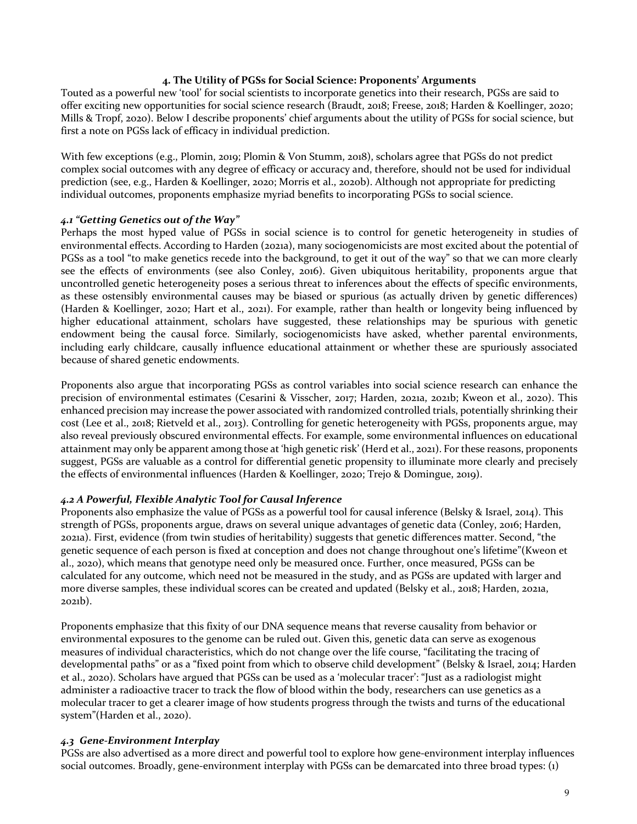#### 4. The Utility of PGSs for Social Science: Proponents' Arguments

Touted as a powerful new 'tool' for social scientists to incorporate genetics into their research, PGSs are said to offer exciting new opportunities for social science research (Braudt, 2018; Freese, 2018; Harden & Koellinger, 2020; Mills & Tropf, 2020). Below I describe proponents' chief arguments about the utility of PGSs for social science, but first a note on PGSs lack of efficacy in individual prediction.

With few exceptions (e.g., Plomin, 2019; Plomin & Von Stumm, 2018), scholars agree that PGSs do not predict complex social outcomes with any degree of efficacy or accuracy and, therefore, should not be used for individual prediction (see, e.g., Harden & Koellinger, 2020; Morris et al., 2020b). Although not appropriate for predicting individual outcomes, proponents emphasize myriad benefits to incorporating PGSs to social science.

#### *4.1 "Getting Genetics out of the Way"*

Perhaps the most hyped value of PGSs in social science is to control for genetic heterogeneity in studies of environmental effects. According to Harden (2021a), many sociogenomicists are most excited about the potential of PGSs as a tool "to make genetics recede into the background, to get it out of the way" so that we can more clearly see the effects of environments (see also Conley, 2016). Given ubiquitous heritability, proponents argue that uncontrolled genetic heterogeneity poses a serious threat to inferences about the effects of specific environments, as these ostensibly environmental causes may be biased or spurious (as actually driven by genetic differences) (Harden & Koellinger, 2020; Hart et al., 2021). For example, rather than health or longevity being influenced by higher educational attainment, scholars have suggested, these relationships may be spurious with genetic endowment being the causal force. Similarly, sociogenomicists have asked, whether parental environments, including early childcare, causally influence educational attainment or whether these are spuriously associated because of shared genetic endowments.

Proponents also argue that incorporating PGSs as control variables into social science research can enhance the precision of environmental estimates (Cesarini & Visscher, 2017; Harden, 2021a, 2021b; Kweon et al., 2020). This enhanced precision may increase the power associated with randomized controlled trials, potentially shrinking their cost (Lee et al., 2018; Rietveld et al., 2013). Controlling for genetic heterogeneity with PGSs, proponents argue, may also reveal previously obscured environmental effects. For example, some environmental influences on educational attainment may only be apparent among those at 'high genetic risk' (Herd et al., 2021). For these reasons, proponents suggest, PGSs are valuable as a control for differential genetic propensity to illuminate more clearly and precisely the effects of environmental influences (Harden & Koellinger, 2020; Trejo & Domingue, 2019).

# *4.2 A Powerful, Flexible Analytic Tool for Causal Inference*

Proponents also emphasize the value of PGSs as a powerful tool for causal inference (Belsky & Israel, 2014). This strength of PGSs, proponents argue, draws on several unique advantages of genetic data (Conley, 2016; Harden, 2021a). First, evidence (from twin studies of heritability) suggests that genetic differences matter. Second, "the genetic sequence of each person is fixed at conception and does not change throughout one's lifetime"(Kweon et al., 2020), which means that genotype need only be measured once. Further, once measured, PGSs can be calculated for any outcome, which need not be measured in the study, and as PGSs are updated with larger and more diverse samples, these individual scores can be created and updated (Belsky et al., 2018; Harden, 2021a, 2021b).

Proponents emphasize that this fixity of our DNA sequence means that reverse causality from behavior or environmental exposures to the genome can be ruled out. Given this, genetic data can serve as exogenous measures of individual characteristics, which do not change over the life course, "facilitating the tracing of developmental paths" or as a "fixed point from which to observe child development" (Belsky & Israel, 2014; Harden et al., 2020). Scholars have argued that PGSs can be used as a 'molecular tracer': "Just as a radiologist might administer a radioactive tracer to track the flow of blood within the body, researchers can use genetics as a molecular tracer to get a clearer image of how students progress through the twists and turns of the educational system"(Harden et al., 2020).

# *4.3 Gene-Environment Interplay*

PGSs are also advertised as a more direct and powerful tool to explore how gene-environment interplay influences social outcomes. Broadly, gene-environment interplay with PGSs can be demarcated into three broad types: (1)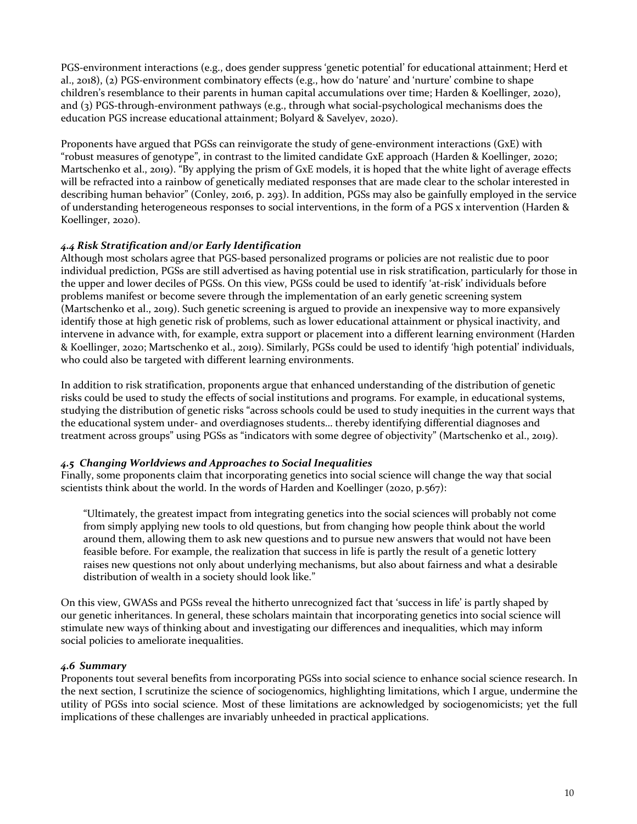PGS-environment interactions (e.g., does gender suppress 'genetic potential' for educational attainment; Herd et al., 2018), (2) PGS-environment combinatory effects (e.g., how do 'nature' and 'nurture' combine to shape children's resemblance to their parents in human capital accumulations over time; Harden & Koellinger, 2020), and  $(3)$  PGS-through-environment pathways  $(e.g.,$  through what social-psychological mechanisms does the education PGS increase educational attainment; Bolyard & Savelyev, 2020).

Proponents have argued that PGSs can reinvigorate the study of gene-environment interactions  $(GxE)$  with "robust measures of genotype", in contrast to the limited candidate GxE approach (Harden & Koellinger, 2020; Martschenko et al., 2019). "By applying the prism of GxE models, it is hoped that the white light of average effects will be refracted into a rainbow of genetically mediated responses that are made clear to the scholar interested in describing human behavior" (Conley, 2016, p. 293). In addition, PGSs may also be gainfully employed in the service of understanding heterogeneous responses to social interventions, in the form of a PGS x intervention (Harden & Koellinger, 2020).

# *4.4 Risk Stratification and/or Early Identification*

Although most scholars agree that PGS-based personalized programs or policies are not realistic due to poor individual prediction, PGSs are still advertised as having potential use in risk stratification, particularly for those in the upper and lower deciles of PGSs. On this view, PGSs could be used to identify 'at-risk' individuals before problems manifest or become severe through the implementation of an early genetic screening system (Martschenko et al., 2019). Such genetic screening is argued to provide an inexpensive way to more expansively identify those at high genetic risk of problems, such as lower educational attainment or physical inactivity, and intervene in advance with, for example, extra support or placement into a different learning environment (Harden & Koellinger, 2020; Martschenko et al., 2019). Similarly, PGSs could be used to identify 'high potential' individuals, who could also be targeted with different learning environments.

In addition to risk stratification, proponents argue that enhanced understanding of the distribution of genetic risks could be used to study the effects of social institutions and programs. For example, in educational systems, studying the distribution of genetic risks "across schools could be used to study inequities in the current ways that the educational system under- and overdiagnoses students... thereby identifying differential diagnoses and treatment across groups" using PGSs as "indicators with some degree of objectivity" (Martschenko et al., 2019).

# *4.5 Changing Worldviews and Approaches to Social Inequalities*

Finally, some proponents claim that incorporating genetics into social science will change the way that social scientists think about the world. In the words of Harden and Koellinger (2020, p.567):

"Ultimately, the greatest impact from integrating genetics into the social sciences will probably not come from simply applying new tools to old questions, but from changing how people think about the world around them, allowing them to ask new questions and to pursue new answers that would not have been feasible before. For example, the realization that success in life is partly the result of a genetic lottery raises new questions not only about underlying mechanisms, but also about fairness and what a desirable distribution of wealth in a society should look like."

On this view, GWASs and PGSs reveal the hitherto unrecognized fact that 'success in life' is partly shaped by our genetic inheritances. In general, these scholars maintain that incorporating genetics into social science will stimulate new ways of thinking about and investigating our differences and inequalities, which may inform social policies to ameliorate inequalities.

# *4.6 Summary*

Proponents tout several benefits from incorporating PGSs into social science to enhance social science research. In the next section, I scrutinize the science of sociogenomics, highlighting limitations, which I argue, undermine the utility of PGSs into social science. Most of these limitations are acknowledged by sociogenomicists; yet the full implications of these challenges are invariably unheeded in practical applications.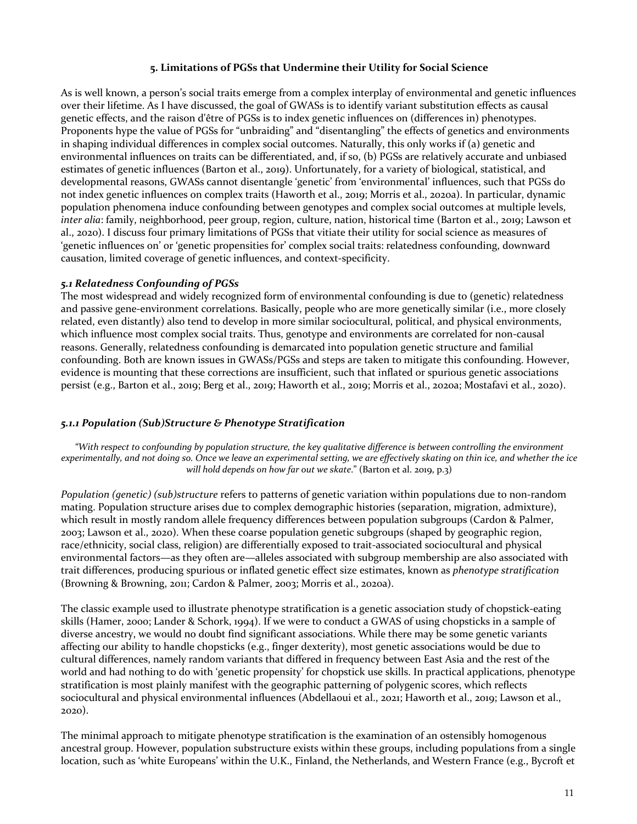#### **5. Limitations of PGSs that Undermine their Utility for Social Science**

As is well known, a person's social traits emerge from a complex interplay of environmental and genetic influences over their lifetime. As I have discussed, the goal of GWASs is to identify variant substitution effects as causal genetic effects, and the raison d'être of PGSs is to index genetic influences on (differences in) phenotypes. Proponents hype the value of PGSs for "unbraiding" and "disentangling" the effects of genetics and environments in shaping individual differences in complex social outcomes. Naturally, this only works if (a) genetic and environmental influences on traits can be differentiated, and, if so, (b) PGSs are relatively accurate and unbiased estimates of genetic influences (Barton et al., 2019). Unfortunately, for a variety of biological, statistical, and developmental reasons, GWASs cannot disentangle 'genetic' from 'environmental' influences, such that PGSs do not index genetic influences on complex traits (Haworth et al., 2019; Morris et al., 2020a). In particular, dynamic population phenomena induce confounding between genotypes and complex social outcomes at multiple levels, *inter alia*: family, neighborhood, peer group, region, culture, nation, historical time (Barton et al., 2019; Lawson et al., 2020). I discuss four primary limitations of PGSs that vitiate their utility for social science as measures of 'genetic influences on' or 'genetic propensities for' complex social traits: relatedness confounding, downward causation, limited coverage of genetic influences, and context-specificity.

# *5.1 Relatedness Confounding of PGSs*

The most widespread and widely recognized form of environmental confounding is due to (genetic) relatedness and passive gene-environment correlations. Basically, people who are more genetically similar (i.e., more closely related, even distantly) also tend to develop in more similar sociocultural, political, and physical environments, which influence most complex social traits. Thus, genotype and environments are correlated for non-causal reasons. Generally, relatedness confounding is demarcated into population genetic structure and familial confounding. Both are known issues in GWASs/PGSs and steps are taken to mitigate this confounding. However, evidence is mounting that these corrections are insufficient, such that inflated or spurious genetic associations persist (e.g., Barton et al., 2019; Berg et al., 2019; Haworth et al., 2019; Morris et al., 2020a; Mostafavi et al., 2020).

# *5.1.1 Population (Sub)Structure & Phenotype Stratification*

"With respect to confounding by population structure, the key qualitative difference is between controlling the environment experimentally, and not doing so. Once we leave an experimental setting, we are effectively skating on thin ice, and whether the ice *will hold depends on how far out we skate.*" (Barton et al. 2019, p.3)

*Population* (*genetic*) (*sub*)*structure* refers to patterns of genetic variation within populations due to non-random mating. Population structure arises due to complex demographic histories (separation, migration, admixture), which result in mostly random allele frequency differences between population subgroups (Cardon & Palmer, 2003; Lawson et al., 2020). When these coarse population genetic subgroups (shaped by geographic region, race/ethnicity, social class, religion) are differentially exposed to trait-associated sociocultural and physical environmental factors—as they often are—alleles associated with subgroup membership are also associated with trait differences, producing spurious or inflated genetic effect size estimates, known as *phenotype stratification* (Browning & Browning, 2011; Cardon & Palmer, 2003; Morris et al., 2020a).

The classic example used to illustrate phenotype stratification is a genetic association study of chopstick-eating skills (Hamer, 2000; Lander & Schork, 1994). If we were to conduct a GWAS of using chopsticks in a sample of diverse ancestry, we would no doubt find significant associations. While there may be some genetic variants affecting our ability to handle chopsticks  $(e.g., finger$  dexterity), most genetic associations would be due to cultural differences, namely random variants that differed in frequency between East Asia and the rest of the world and had nothing to do with 'genetic propensity' for chopstick use skills. In practical applications, phenotype stratification is most plainly manifest with the geographic patterning of polygenic scores, which reflects sociocultural and physical environmental influences (Abdellaoui et al., 2021; Haworth et al., 2019; Lawson et al., 2020). 

The minimal approach to mitigate phenotype stratification is the examination of an ostensibly homogenous ancestral group. However, population substructure exists within these groups, including populations from a single location, such as 'white Europeans' within the U.K., Finland, the Netherlands, and Western France (e.g., Bycroft et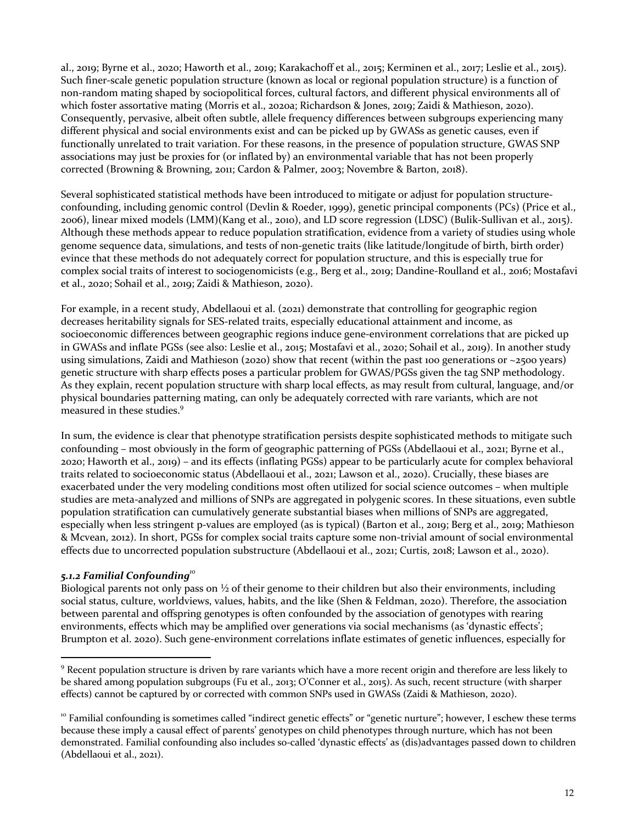al., 2019; Byrne et al., 2020; Haworth et al., 2019; Karakachoff et al., 2015; Kerminen et al., 2017; Leslie et al., 2015). Such finer-scale genetic population structure (known as local or regional population structure) is a function of non-random mating shaped by sociopolitical forces, cultural factors, and different physical environments all of which foster assortative mating (Morris et al., 2020a; Richardson & Jones, 2019; Zaidi & Mathieson, 2020). Consequently, pervasive, albeit often subtle, allele frequency differences between subgroups experiencing many different physical and social environments exist and can be picked up by GWASs as genetic causes, even if functionally unrelated to trait variation. For these reasons, in the presence of population structure, GWAS SNP associations may just be proxies for (or inflated by) an environmental variable that has not been properly corrected (Browning & Browning, 2011; Cardon & Palmer, 2003; Novembre & Barton, 2018).

Several sophisticated statistical methods have been introduced to mitigate or adjust for population structureconfounding, including genomic control (Devlin & Roeder, 1999), genetic principal components (PCs) (Price et al., 2006), linear mixed models (LMM)(Kang et al., 2010), and LD score regression (LDSC) (Bulik-Sullivan et al., 2015). Although these methods appear to reduce population stratification, evidence from a variety of studies using whole genome sequence data, simulations, and tests of non-genetic traits (like latitude/longitude of birth, birth order) evince that these methods do not adequately correct for population structure, and this is especially true for complex social traits of interest to sociogenomicists (e.g., Berg et al., 2019; Dandine-Roulland et al., 2016; Mostafavi et al., 2020; Sohail et al., 2019; Zaidi & Mathieson, 2020).

For example, in a recent study, Abdellaoui et al. (2021) demonstrate that controlling for geographic region decreases heritability signals for SES-related traits, especially educational attainment and income, as socioeconomic differences between geographic regions induce gene-environment correlations that are picked up in GWASs and inflate PGSs (see also: Leslie et al., 2015; Mostafavi et al., 2020; Sohail et al., 2019). In another study using simulations, Zaidi and Mathieson (2020) show that recent (within the past 100 generations or  $\sim$ 2500 years) genetic structure with sharp effects poses a particular problem for GWAS/PGSs given the tag SNP methodology. As they explain, recent population structure with sharp local effects, as may result from cultural, language, and/or physical boundaries patterning mating, can only be adequately corrected with rare variants, which are not measured in these studies.<sup>9</sup>

In sum, the evidence is clear that phenotype stratification persists despite sophisticated methods to mitigate such confounding – most obviously in the form of geographic patterning of PGSs (Abdellaoui et al., 2021; Byrne et al.,  $2020$ ; Haworth et al.,  $2019$ ) – and its effects (inflating PGSs) appear to be particularly acute for complex behavioral traits related to socioeconomic status (Abdellaoui et al., 2021; Lawson et al., 2020). Crucially, these biases are exacerbated under the very modeling conditions most often utilized for social science outcomes - when multiple studies are meta-analyzed and millions of SNPs are aggregated in polygenic scores. In these situations, even subtle population stratification can cumulatively generate substantial biases when millions of SNPs are aggregated, especially when less stringent p-values are employed (as is typical) (Barton et al., 2019; Berg et al., 2019; Mathieson & Mcvean, 2012). In short, PGSs for complex social traits capture some non-trivial amount of social environmental effects due to uncorrected population substructure (Abdellaoui et al., 2021; Curtis, 2018; Lawson et al., 2020).

# *5.1.2 Familial Confounding<sup>10</sup>*

Biological parents not only pass on  $\frac{1}{2}$  of their genome to their children but also their environments, including social status, culture, worldviews, values, habits, and the like (Shen & Feldman, 2020). Therefore, the association between parental and offspring genotypes is often confounded by the association of genotypes with rearing environments, effects which may be amplified over generations via social mechanisms (as 'dynastic effects'; Brumpton et al. 2020). Such gene-environment correlations inflate estimates of genetic influences, especially for

<sup>&</sup>lt;sup>9</sup> Recent population structure is driven by rare variants which have a more recent origin and therefore are less likely to be shared among population subgroups (Fu et al., 2013; O'Conner et al., 2015). As such, recent structure (with sharper effects) cannot be captured by or corrected with common SNPs used in GWASs (Zaidi & Mathieson, 2020).

 $10$  Familial confounding is sometimes called "indirect genetic effects" or "genetic nurture"; however, I eschew these terms because these imply a causal effect of parents' genotypes on child phenotypes through nurture, which has not been demonstrated. Familial confounding also includes so-called 'dynastic effects' as (dis)advantages passed down to children (Abdellaoui et al., 2021).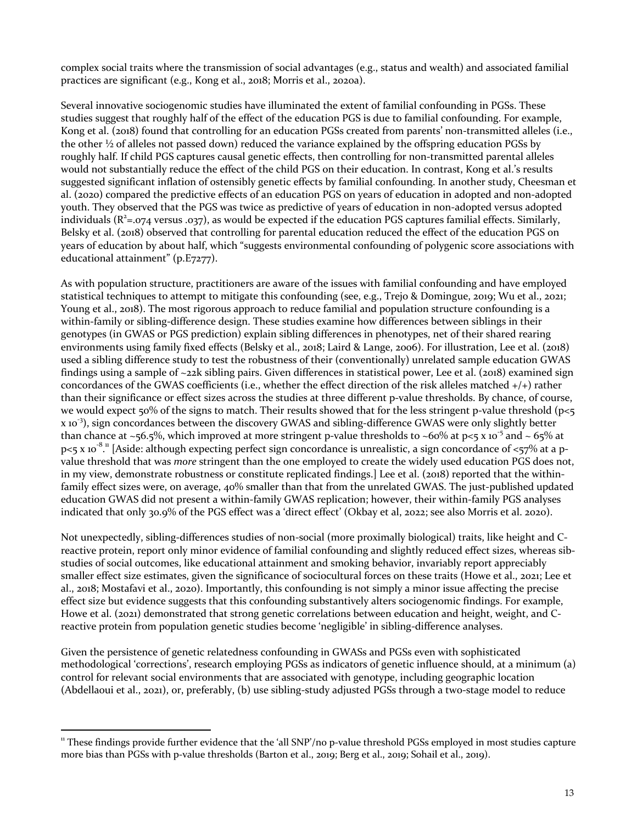complex social traits where the transmission of social advantages (e.g., status and wealth) and associated familial practices are significant (e.g., Kong et al., 2018; Morris et al., 2020a).

Several innovative sociogenomic studies have illuminated the extent of familial confounding in PGSs. These studies suggest that roughly half of the effect of the education PGS is due to familial confounding. For example, Kong et al. (2018) found that controlling for an education PGSs created from parents' non-transmitted alleles (i.e., the other  $\frac{1}{2}$  of alleles not passed down) reduced the variance explained by the offspring education PGSs by roughly half. If child PGS captures causal genetic effects, then controlling for non-transmitted parental alleles would not substantially reduce the effect of the child PGS on their education. In contrast, Kong et al.'s results suggested significant inflation of ostensibly genetic effects by familial confounding. In another study, Cheesman et al. (2020) compared the predictive effects of an education PGS on years of education in adopted and non-adopted youth. They observed that the PGS was twice as predictive of years of education in non-adopted versus adopted individuals ( $R^2$ =.074 versus .037), as would be expected if the education PGS captures familial effects. Similarly, Belsky et al. (2018) observed that controlling for parental education reduced the effect of the education PGS on years of education by about half, which "suggests environmental confounding of polygenic score associations with educational attainment" (p.E7277).

As with population structure, practitioners are aware of the issues with familial confounding and have employed statistical techniques to attempt to mitigate this confounding (see, e.g., Trejo & Domingue, 2019; Wu et al., 2021; Young et al., 2018). The most rigorous approach to reduce familial and population structure confounding is a within-family or sibling-difference design. These studies examine how differences between siblings in their genotypes (in GWAS or PGS prediction) explain sibling differences in phenotypes, net of their shared rearing environments using family fixed effects (Belsky et al., 2018; Laird & Lange, 2006). For illustration, Lee et al. (2018) used a sibling difference study to test the robustness of their (conventionally) unrelated sample education GWAS findings using a sample of  $\sim$ 22k sibling pairs. Given differences in statistical power, Lee et al. (2018) examined sign concordances of the GWAS coefficients (i.e., whether the effect direction of the risk alleles matched  $+/+$ ) rather than their significance or effect sizes across the studies at three different p-value thresholds. By chance, of course, we would expect  $50\%$  of the signs to match. Their results showed that for the less stringent p-value threshold (p<5 x 10<sup>-3</sup>), sign concordances between the discovery GWAS and sibling-difference GWAS were only slightly better than chance at ~56.5%, which improved at more stringent p-value thresholds to ~60% at p<5 x 10<sup>-5</sup> and ~ 65% at p<5 x 10<sup>-8 .</sup>" [Aside: although expecting perfect sign concordance is unrealistic, a sign concordance of <57% at a pvalue threshold that was *more* stringent than the one employed to create the widely used education PGS does not, in my view, demonstrate robustness or constitute replicated findings.] Lee et al. (2018) reported that the withinfamily effect sizes were, on average, 40% smaller than that from the unrelated GWAS. The just-published updated education GWAS did not present a within-family GWAS replication; however, their within-family PGS analyses indicated that only 30.9% of the PGS effect was a 'direct effect' (Okbay et al, 2022; see also Morris et al. 2020).

Not unexpectedly, sibling-differences studies of non-social (more proximally biological) traits, like height and Creactive protein, report only minor evidence of familial confounding and slightly reduced effect sizes, whereas sibstudies of social outcomes, like educational attainment and smoking behavior, invariably report appreciably smaller effect size estimates, given the significance of sociocultural forces on these traits (Howe et al., 2021; Lee et al., 2018; Mostafavi et al., 2020). Importantly, this confounding is not simply a minor issue affecting the precise effect size but evidence suggests that this confounding substantively alters sociogenomic findings. For example, Howe et al. (2021) demonstrated that strong genetic correlations between education and height, weight, and Creactive protein from population genetic studies become 'negligible' in sibling-difference analyses.

Given the persistence of genetic relatedness confounding in GWASs and PGSs even with sophisticated methodological 'corrections', research employing PGSs as indicators of genetic influence should, at a minimum (a) control for relevant social environments that are associated with genotype, including geographic location (Abdellaoui et al., 2021), or, preferably, (b) use sibling-study adjusted PGSs through a two-stage model to reduce

<sup>&</sup>lt;sup>11</sup> These findings provide further evidence that the 'all SNP'/no p-value threshold PGSs employed in most studies capture more bias than PGSs with p-value thresholds (Barton et al., 2019; Berg et al., 2019; Sohail et al., 2019).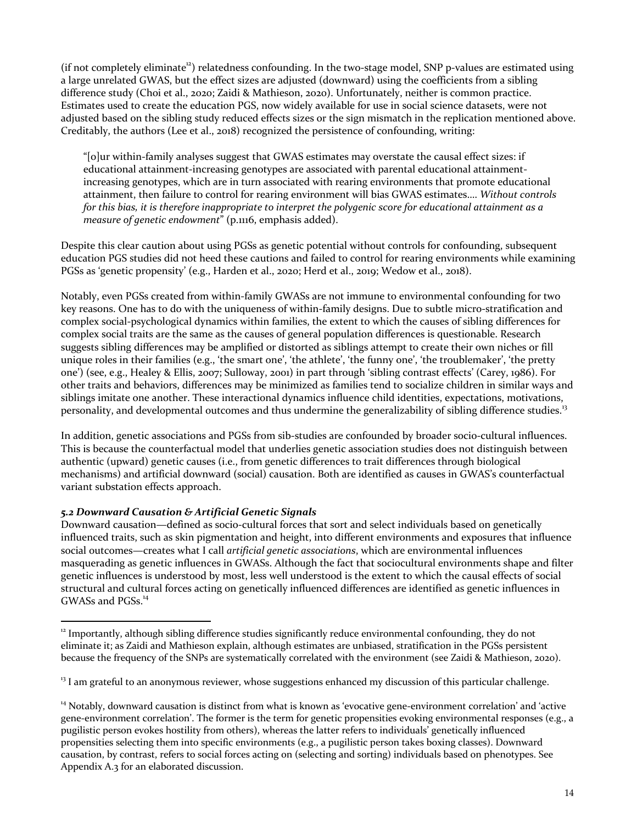(if not completely eliminate<sup>12</sup>) relatedness confounding. In the two-stage model, SNP p-values are estimated using a large unrelated GWAS, but the effect sizes are adjusted (downward) using the coefficients from a sibling difference study (Choi et al., 2020; Zaidi & Mathieson, 2020). Unfortunately, neither is common practice. Estimates used to create the education PGS, now widely available for use in social science datasets, were not adjusted based on the sibling study reduced effects sizes or the sign mismatch in the replication mentioned above. Creditably, the authors (Lee et al., 2018) recognized the persistence of confounding, writing:

"[o]ur within-family analyses suggest that GWAS estimates may overstate the causal effect sizes: if educational attainment-increasing genotypes are associated with parental educational attainmentincreasing genotypes, which are in turn associated with rearing environments that promote educational attainment, then failure to control for rearing environment will bias GWAS estimates.... Without controls *for this bias, it is therefore inappropriate to interpret the polygenic score for educational attainment as a measure of genetic endowment*" (p.1116, emphasis added).

Despite this clear caution about using PGSs as genetic potential without controls for confounding, subsequent education PGS studies did not heed these cautions and failed to control for rearing environments while examining PGSs as 'genetic propensity' (e.g., Harden et al., 2020; Herd et al., 2019; Wedow et al., 2018).

Notably, even PGSs created from within-family GWASs are not immune to environmental confounding for two key reasons. One has to do with the uniqueness of within-family designs. Due to subtle micro-stratification and complex social-psychological dynamics within families, the extent to which the causes of sibling differences for complex social traits are the same as the causes of general population differences is questionable. Research suggests sibling differences may be amplified or distorted as siblings attempt to create their own niches or fill unique roles in their families  $(e.g., 'the smart one', 'the athlete', 'the funny one', 'the troublemaker', 'the pretty$ one') (see, e.g., Healey & Ellis, 2007; Sulloway, 2001) in part through 'sibling contrast effects' (Carey, 1986). For other traits and behaviors, differences may be minimized as families tend to socialize children in similar ways and siblings imitate one another. These interactional dynamics influence child identities, expectations, motivations, personality, and developmental outcomes and thus undermine the generalizability of sibling difference studies.<sup>13</sup>

In addition, genetic associations and PGSs from sib-studies are confounded by broader socio-cultural influences. This is because the counterfactual model that underlies genetic association studies does not distinguish between authentic (upward) genetic causes (i.e., from genetic differences to trait differences through biological mechanisms) and artificial downward (social) causation. Both are identified as causes in GWAS's counterfactual variant substation effects approach.

# *5.2 Downward Causation & Artificial Genetic Signals*

Downward causation—defined as socio-cultural forces that sort and select individuals based on genetically influenced traits, such as skin pigmentation and height, into different environments and exposures that influence social outcomes—creates what I call artificial genetic associations, which are environmental influences masquerading as genetic influences in GWASs. Although the fact that sociocultural environments shape and filter genetic influences is understood by most, less well understood is the extent to which the causal effects of social structural and cultural forces acting on genetically influenced differences are identified as genetic influences in GWASs and PGSs.<sup>14</sup>

 $13$  I am grateful to an anonymous reviewer, whose suggestions enhanced my discussion of this particular challenge.

 $12$  Importantly, although sibling difference studies significantly reduce environmental confounding, they do not eliminate it; as Zaidi and Mathieson explain, although estimates are unbiased, stratification in the PGSs persistent because the frequency of the SNPs are systematically correlated with the environment (see Zaidi & Mathieson, 2020).

 $14$  Notably, downward causation is distinct from what is known as 'evocative gene-environment correlation' and 'active gene-environment correlation'. The former is the term for genetic propensities evoking environmental responses (e.g., a pugilistic person evokes hostility from others), whereas the latter refers to individuals' genetically influenced propensities selecting them into specific environments (e.g., a pugilistic person takes boxing classes). Downward causation, by contrast, refers to social forces acting on (selecting and sorting) individuals based on phenotypes. See Appendix A.3 for an elaborated discussion.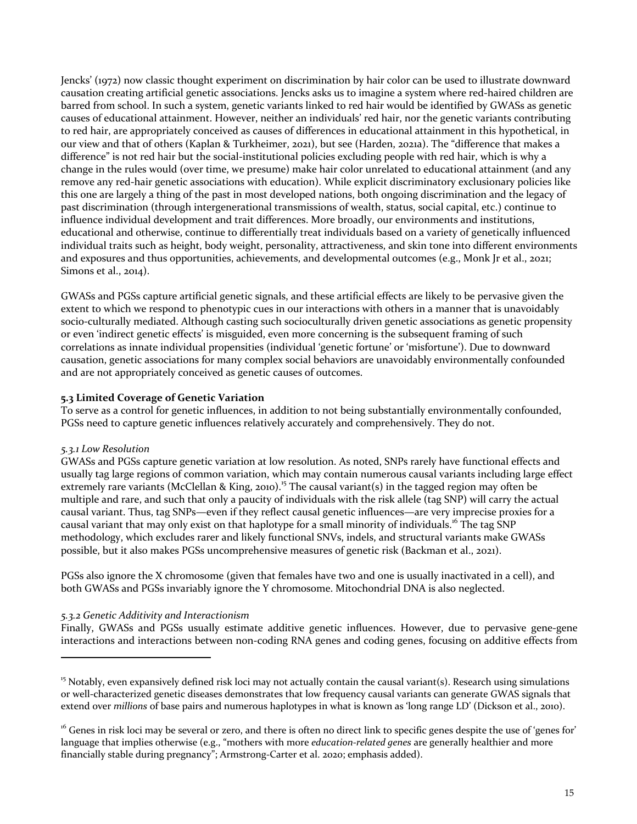Jencks' (1972) now classic thought experiment on discrimination by hair color can be used to illustrate downward causation creating artificial genetic associations. Jencks asks us to imagine a system where red-haired children are barred from school. In such a system, genetic variants linked to red hair would be identified by GWASs as genetic causes of educational attainment. However, neither an individuals' red hair, nor the genetic variants contributing to red hair, are appropriately conceived as causes of differences in educational attainment in this hypothetical, in our view and that of others (Kaplan & Turkheimer, 2021), but see (Harden, 2021a). The "difference that makes a difference" is not red hair but the social-institutional policies excluding people with red hair, which is why a change in the rules would (over time, we presume) make hair color unrelated to educational attainment (and any remove any red-hair genetic associations with education). While explicit discriminatory exclusionary policies like this one are largely a thing of the past in most developed nations, both ongoing discrimination and the legacy of past discrimination (through intergenerational transmissions of wealth, status, social capital, etc.) continue to influence individual development and trait differences. More broadly, our environments and institutions, educational and otherwise, continue to differentially treat individuals based on a variety of genetically influenced individual traits such as height, body weight, personality, attractiveness, and skin tone into different environments and exposures and thus opportunities, achievements, and developmental outcomes (e.g., Monk Jr et al., 2021; Simons et al., 2014).

GWASs and PGSs capture artificial genetic signals, and these artificial effects are likely to be pervasive given the extent to which we respond to phenotypic cues in our interactions with others in a manner that is unavoidably socio-culturally mediated. Although casting such socioculturally driven genetic associations as genetic propensity or even 'indirect genetic effects' is misguided, even more concerning is the subsequent framing of such correlations as innate individual propensities (individual 'genetic fortune' or 'misfortune'). Due to downward causation, genetic associations for many complex social behaviors are unavoidably environmentally confounded and are not appropriately conceived as genetic causes of outcomes.

# **5.3 Limited Coverage of Genetic Variation**

To serve as a control for genetic influences, in addition to not being substantially environmentally confounded, PGSs need to capture genetic influences relatively accurately and comprehensively. They do not.

# *5.3.1 Low Resolution*

GWASs and PGSs capture genetic variation at low resolution. As noted, SNPs rarely have functional effects and usually tag large regions of common variation, which may contain numerous causal variants including large effect extremely rare variants (McClellan & King, 2010).<sup>15</sup> The causal variant(s) in the tagged region may often be multiple and rare, and such that only a paucity of individuals with the risk allele (tag SNP) will carry the actual causal variant. Thus, tag SNPs—even if they reflect causal genetic influences—are very imprecise proxies for a causal variant that may only exist on that haplotype for a small minority of individuals.<sup>16</sup> The tag SNP methodology, which excludes rarer and likely functional SNVs, indels, and structural variants make GWASs possible, but it also makes PGSs uncomprehensive measures of genetic risk (Backman et al., 2021).

PGSs also ignore the X chromosome (given that females have two and one is usually inactivated in a cell), and both GWASs and PGSs invariably ignore the Y chromosome. Mitochondrial DNA is also neglected.

# *5.3.2 Genetic Additivity and Interactionism*

Finally, GWASs and PGSs usually estimate additive genetic influences. However, due to pervasive gene-gene interactions and interactions between non-coding RNA genes and coding genes, focusing on additive effects from

<sup>&</sup>lt;sup>15</sup> Notably, even expansively defined risk loci may not actually contain the causal variant(s). Research using simulations or well-characterized genetic diseases demonstrates that low frequency causal variants can generate GWAS signals that extend over *millions* of base pairs and numerous haplotypes in what is known as 'long range LD' (Dickson et al., 2010).

<sup>&</sup>lt;sup>16</sup> Genes in risk loci may be several or zero, and there is often no direct link to specific genes despite the use of 'genes for' language that implies otherwise (e.g., "mothers with more *education-related genes* are generally healthier and more financially stable during pregnancy"; Armstrong-Carter et al. 2020; emphasis added).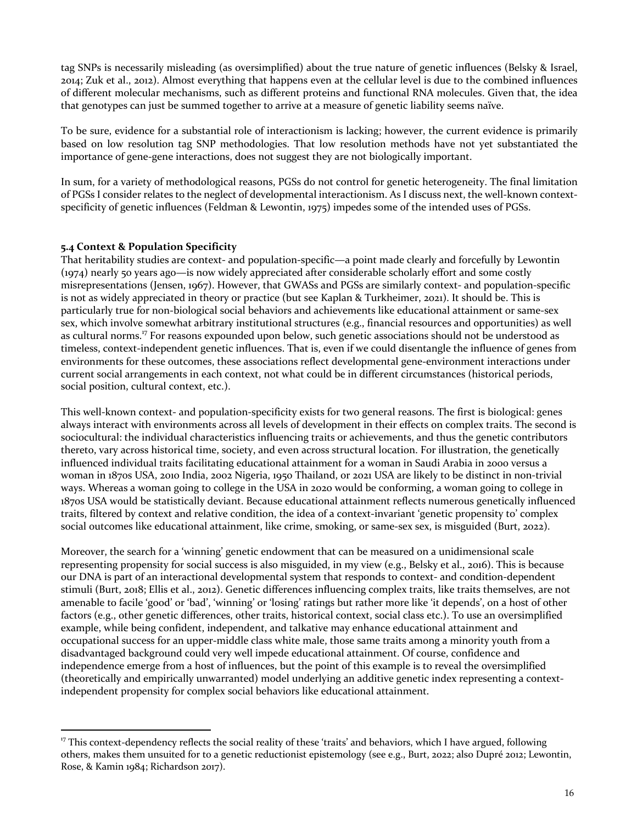tag SNPs is necessarily misleading (as oversimplified) about the true nature of genetic influences (Belsky & Israel, 2014; Zuk et al., 2012). Almost everything that happens even at the cellular level is due to the combined influences of different molecular mechanisms, such as different proteins and functional RNA molecules. Given that, the idea that genotypes can just be summed together to arrive at a measure of genetic liability seems naïve.

To be sure, evidence for a substantial role of interactionism is lacking; however, the current evidence is primarily based on low resolution tag SNP methodologies. That low resolution methods have not yet substantiated the importance of gene-gene interactions, does not suggest they are not biologically important.

In sum, for a variety of methodological reasons, PGSs do not control for genetic heterogeneity. The final limitation of PGSs I consider relates to the neglect of developmental interactionism. As I discuss next, the well-known contextspecificity of genetic influences (Feldman & Lewontin, 1975) impedes some of the intended uses of PGSs.

# **5.4 Context & Population Specificity**

That heritability studies are context- and population-specific—a point made clearly and forcefully by Lewontin  $(1974)$  nearly 50 years ago—is now widely appreciated after considerable scholarly effort and some costly misrepresentations (Jensen, 1967). However, that GWASs and PGSs are similarly context- and population-specific is not as widely appreciated in theory or practice (but see Kaplan & Turkheimer, 2021). It should be. This is particularly true for non-biological social behaviors and achievements like educational attainment or same-sex sex, which involve somewhat arbitrary institutional structures (e.g., financial resources and opportunities) as well as cultural norms.<sup>17</sup> For reasons expounded upon below, such genetic associations should not be understood as timeless, context-independent genetic influences. That is, even if we could disentangle the influence of genes from environments for these outcomes, these associations reflect developmental gene-environment interactions under current social arrangements in each context, not what could be in different circumstances (historical periods, social position, cultural context, etc.).

This well-known context- and population-specificity exists for two general reasons. The first is biological: genes always interact with environments across all levels of development in their effects on complex traits. The second is sociocultural: the individual characteristics influencing traits or achievements, and thus the genetic contributors thereto, vary across historical time, society, and even across structural location. For illustration, the genetically influenced individual traits facilitating educational attainment for a woman in Saudi Arabia in 2000 versus a woman in 1870s USA, 2010 India, 2002 Nigeria, 1950 Thailand, or 2021 USA are likely to be distinct in non-trivial ways. Whereas a woman going to college in the USA in 2020 would be conforming, a woman going to college in 1870s USA would be statistically deviant. Because educational attainment reflects numerous genetically influenced traits, filtered by context and relative condition, the idea of a context-invariant 'genetic propensity to' complex social outcomes like educational attainment, like crime, smoking, or same-sex sex, is misguided (Burt, 2022).

Moreover, the search for a 'winning' genetic endowment that can be measured on a unidimensional scale representing propensity for social success is also misguided, in my view (e.g., Belsky et al., 2016). This is because our DNA is part of an interactional developmental system that responds to context- and condition-dependent stimuli (Burt, 2018; Ellis et al., 2012). Genetic differences influencing complex traits, like traits themselves, are not amenable to facile 'good' or 'bad', 'winning' or 'losing' ratings but rather more like 'it depends', on a host of other factors (e.g., other genetic differences, other traits, historical context, social class etc.). To use an oversimplified example, while being confident, independent, and talkative may enhance educational attainment and occupational success for an upper-middle class white male, those same traits among a minority youth from a disadvantaged background could very well impede educational attainment. Of course, confidence and independence emerge from a host of influences, but the point of this example is to reveal the oversimplified (theoretically and empirically unwarranted) model underlying an additive genetic index representing a contextindependent propensity for complex social behaviors like educational attainment.

<sup>&</sup>lt;sup>17</sup> This context-dependency reflects the social reality of these 'traits' and behaviors, which I have argued, following others, makes them unsuited for to a genetic reductionist epistemology (see e.g., Burt, 2022; also Dupré 2012; Lewontin, Rose, & Kamin 1984; Richardson 2017).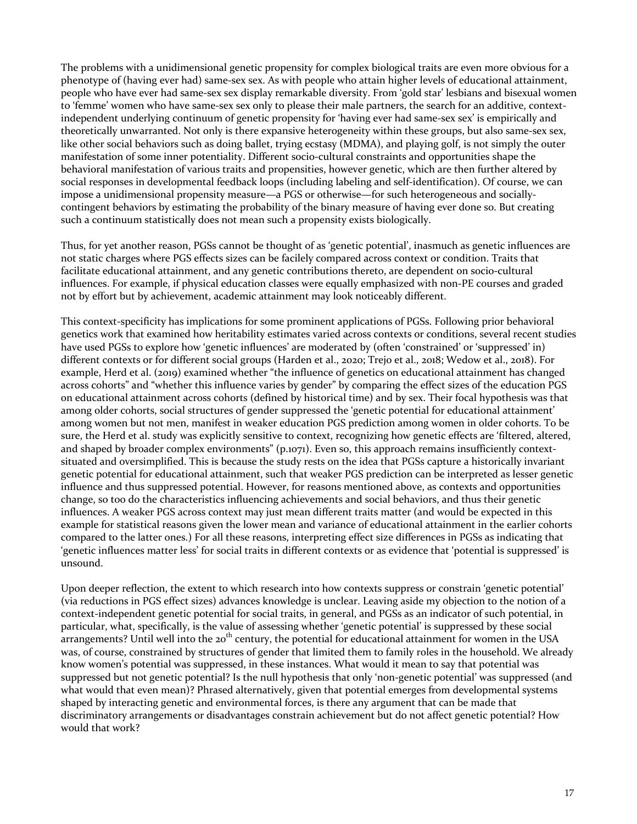The problems with a unidimensional genetic propensity for complex biological traits are even more obvious for a phenotype of (having ever had) same-sex sex. As with people who attain higher levels of educational attainment, people who have ever had same-sex sex display remarkable diversity. From 'gold star' lesbians and bisexual women to 'femme' women who have same-sex sex only to please their male partners, the search for an additive, contextindependent underlying continuum of genetic propensity for 'having ever had same-sex sex' is empirically and theoretically unwarranted. Not only is there expansive heterogeneity within these groups, but also same-sex sex, like other social behaviors such as doing ballet, trying ecstasy (MDMA), and playing golf, is not simply the outer manifestation of some inner potentiality. Different socio-cultural constraints and opportunities shape the behavioral manifestation of various traits and propensities, however genetic, which are then further altered by social responses in developmental feedback loops (including labeling and self-identification). Of course, we can impose a unidimensional propensity measure—a PGS or otherwise—for such heterogeneous and sociallycontingent behaviors by estimating the probability of the binary measure of having ever done so. But creating such a continuum statistically does not mean such a propensity exists biologically.

Thus, for yet another reason, PGSs cannot be thought of as 'genetic potential', inasmuch as genetic influences are not static charges where PGS effects sizes can be facilely compared across context or condition. Traits that facilitate educational attainment, and any genetic contributions thereto, are dependent on socio-cultural influences. For example, if physical education classes were equally emphasized with non-PE courses and graded not by effort but by achievement, academic attainment may look noticeably different.

This context-specificity has implications for some prominent applications of PGSs. Following prior behavioral genetics work that examined how heritability estimates varied across contexts or conditions, several recent studies have used PGSs to explore how 'genetic influences' are moderated by (often 'constrained' or 'suppressed' in) different contexts or for different social groups (Harden et al., 2020; Trejo et al., 2018; Wedow et al., 2018). For example, Herd et al. (2019) examined whether "the influence of genetics on educational attainment has changed across cohorts" and "whether this influence varies by gender" by comparing the effect sizes of the education PGS on educational attainment across cohorts (defined by historical time) and by sex. Their focal hypothesis was that among older cohorts, social structures of gender suppressed the 'genetic potential for educational attainment' among women but not men, manifest in weaker education PGS prediction among women in older cohorts. To be sure, the Herd et al. study was explicitly sensitive to context, recognizing how genetic effects are 'filtered, altered, and shaped by broader complex environments"  $(p_{.1071})$ . Even so, this approach remains insufficiently contextsituated and oversimplified. This is because the study rests on the idea that PGSs capture a historically invariant genetic potential for educational attainment, such that weaker PGS prediction can be interpreted as lesser genetic influence and thus suppressed potential. However, for reasons mentioned above, as contexts and opportunities change, so too do the characteristics influencing achievements and social behaviors, and thus their genetic influences. A weaker PGS across context may just mean different traits matter (and would be expected in this example for statistical reasons given the lower mean and variance of educational attainment in the earlier cohorts compared to the latter ones.) For all these reasons, interpreting effect size differences in PGSs as indicating that 'genetic influences matter less' for social traits in different contexts or as evidence that 'potential is suppressed' is unsound. 

Upon deeper reflection, the extent to which research into how contexts suppress or constrain 'genetic potential' (via reductions in PGS effect sizes) advances knowledge is unclear. Leaving aside my objection to the notion of a context-independent genetic potential for social traits, in general, and PGSs as an indicator of such potential, in particular, what, specifically, is the value of assessing whether 'genetic potential' is suppressed by these social arrangements? Until well into the 20<sup>th</sup> century, the potential for educational attainment for women in the USA was, of course, constrained by structures of gender that limited them to family roles in the household. We already know women's potential was suppressed, in these instances. What would it mean to say that potential was suppressed but not genetic potential? Is the null hypothesis that only 'non-genetic potential' was suppressed (and what would that even mean)? Phrased alternatively, given that potential emerges from developmental systems shaped by interacting genetic and environmental forces, is there any argument that can be made that discriminatory arrangements or disadvantages constrain achievement but do not affect genetic potential? How would that work?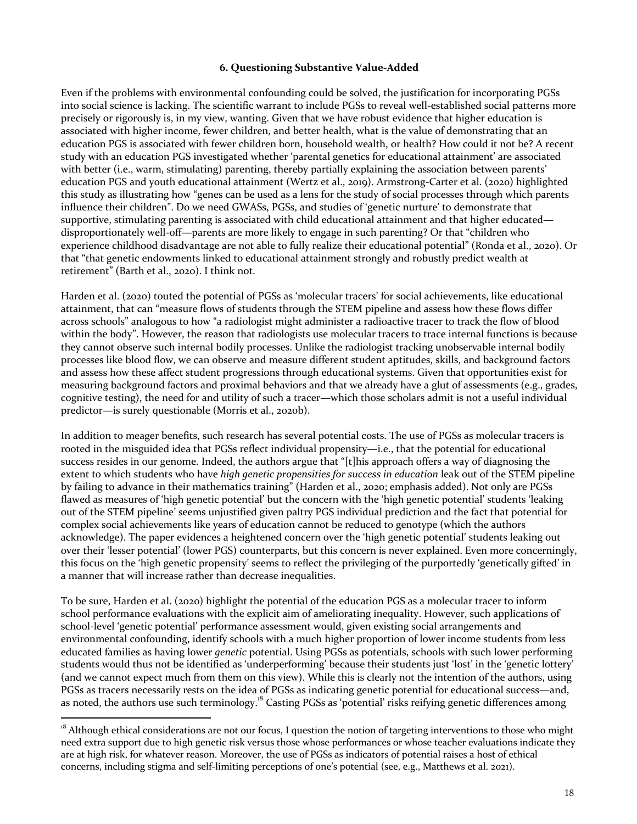#### **6. Questioning Substantive Value-Added**

Even if the problems with environmental confounding could be solved, the justification for incorporating PGSs into social science is lacking. The scientific warrant to include PGSs to reveal well-established social patterns more precisely or rigorously is, in my view, wanting. Given that we have robust evidence that higher education is associated with higher income, fewer children, and better health, what is the value of demonstrating that an education PGS is associated with fewer children born, household wealth, or health? How could it not be? A recent study with an education PGS investigated whether 'parental genetics for educational attainment' are associated with better (i.e., warm, stimulating) parenting, thereby partially explaining the association between parents' education PGS and youth educational attainment (Wertz et al., 2019). Armstrong-Carter et al. (2020) highlighted this study as illustrating how "genes can be used as a lens for the study of social processes through which parents influence their children". Do we need GWASs, PGSs, and studies of 'genetic nurture' to demonstrate that supportive, stimulating parenting is associated with child educational attainment and that higher educated disproportionately well-off—parents are more likely to engage in such parenting? Or that "children who experience childhood disadvantage are not able to fully realize their educational potential" (Ronda et al., 2020). Or that "that genetic endowments linked to educational attainment strongly and robustly predict wealth at retirement" (Barth et al., 2020). I think not.

Harden et al. (2020) touted the potential of PGSs as 'molecular tracers' for social achievements, like educational attainment, that can "measure flows of students through the STEM pipeline and assess how these flows differ across schools" analogous to how "a radiologist might administer a radioactive tracer to track the flow of blood within the body". However, the reason that radiologists use molecular tracers to trace internal functions is because they cannot observe such internal bodily processes. Unlike the radiologist tracking unobservable internal bodily processes like blood flow, we can observe and measure different student aptitudes, skills, and background factors and assess how these affect student progressions through educational systems. Given that opportunities exist for measuring background factors and proximal behaviors and that we already have a glut of assessments (e.g., grades, cognitive testing), the need for and utility of such a tracer—which those scholars admit is not a useful individual predictor—is surely questionable (Morris et al., 2020b).

In addition to meager benefits, such research has several potential costs. The use of PGSs as molecular tracers is rooted in the misguided idea that PGSs reflect individual propensity—i.e., that the potential for educational success resides in our genome. Indeed, the authors argue that " $[t]$ his approach offers a way of diagnosing the extent to which students who have *high genetic propensities for success in education* leak out of the STEM pipeline by failing to advance in their mathematics training" (Harden et al., 2020; emphasis added). Not only are PGSs flawed as measures of 'high genetic potential' but the concern with the 'high genetic potential' students 'leaking out of the STEM pipeline' seems unjustified given paltry PGS individual prediction and the fact that potential for complex social achievements like years of education cannot be reduced to genotype (which the authors acknowledge). The paper evidences a heightened concern over the 'high genetic potential' students leaking out over their 'lesser potential' (lower PGS) counterparts, but this concern is never explained. Even more concerningly, this focus on the 'high genetic propensity' seems to reflect the privileging of the purportedly 'genetically gifted' in a manner that will increase rather than decrease inequalities.

To be sure, Harden et al. (2020) highlight the potential of the education PGS as a molecular tracer to inform school performance evaluations with the explicit aim of ameliorating inequality. However, such applications of school-level 'genetic potential' performance assessment would, given existing social arrangements and environmental confounding, identify schools with a much higher proportion of lower income students from less educated families as having lower *genetic* potential. Using PGSs as potentials, schools with such lower performing students would thus not be identified as 'underperforming' because their students just 'lost' in the 'genetic lottery' (and we cannot expect much from them on this view). While this is clearly not the intention of the authors, using PGSs as tracers necessarily rests on the idea of PGSs as indicating genetic potential for educational success—and, as noted, the authors use such terminology.<sup>18</sup> Casting PGSs as 'potential' risks reifying genetic differences among

<sup>&</sup>lt;sup>18</sup> Although ethical considerations are not our focus, I question the notion of targeting interventions to those who might need extra support due to high genetic risk versus those whose performances or whose teacher evaluations indicate they are at high risk, for whatever reason. Moreover, the use of PGSs as indicators of potential raises a host of ethical concerns, including stigma and self-limiting perceptions of one's potential (see, e.g., Matthews et al. 2021).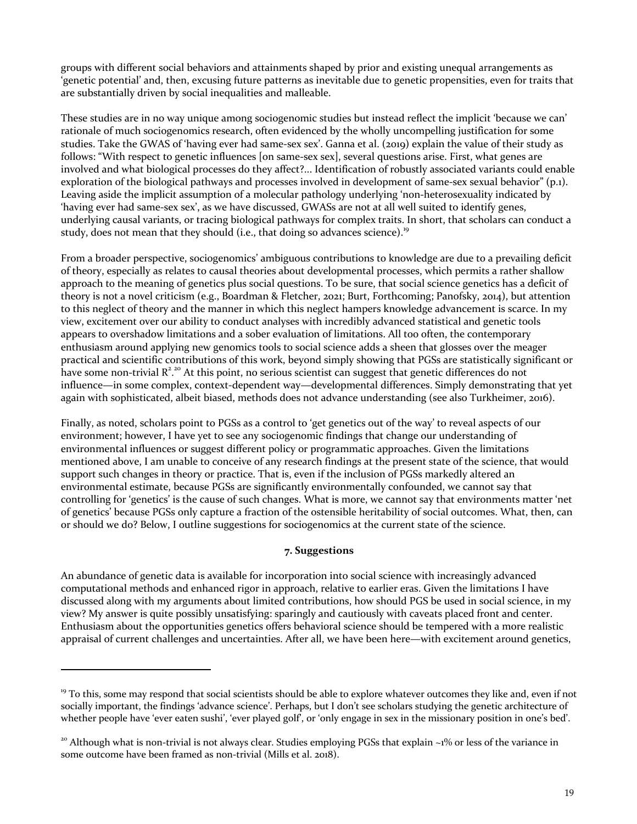groups with different social behaviors and attainments shaped by prior and existing unequal arrangements as 'genetic potential' and, then, excusing future patterns as inevitable due to genetic propensities, even for traits that are substantially driven by social inequalities and malleable.

These studies are in no way unique among sociogenomic studies but instead reflect the implicit 'because we can' rationale of much sociogenomics research, often evidenced by the wholly uncompelling justification for some studies. Take the GWAS of 'having ever had same-sex sex'. Ganna et al. (2019) explain the value of their study as follows: "With respect to genetic influences [on same-sex sex], several questions arise. First, what genes are involved and what biological processes do they affect?... Identification of robustly associated variants could enable exploration of the biological pathways and processes involved in development of same-sex sexual behavior"  $(p_1)$ . Leaving aside the implicit assumption of a molecular pathology underlying 'non-heterosexuality indicated by 'having ever had same-sex sex', as we have discussed, GWASs are not at all well suited to identify genes, underlying causal variants, or tracing biological pathways for complex traits. In short, that scholars can conduct a study, does not mean that they should (i.e., that doing so advances science).<sup>19</sup>

From a broader perspective, sociogenomics' ambiguous contributions to knowledge are due to a prevailing deficit of theory, especially as relates to causal theories about developmental processes, which permits a rather shallow approach to the meaning of genetics plus social questions. To be sure, that social science genetics has a deficit of theory is not a novel criticism (e.g., Boardman & Fletcher, 2021; Burt, Forthcoming; Panofsky, 2014), but attention to this neglect of theory and the manner in which this neglect hampers knowledge advancement is scarce. In my view, excitement over our ability to conduct analyses with incredibly advanced statistical and genetic tools appears to overshadow limitations and a sober evaluation of limitations. All too often, the contemporary enthusiasm around applying new genomics tools to social science adds a sheen that glosses over the meager practical and scientific contributions of this work, beyond simply showing that PGSs are statistically significant or have some non-trivial  $R^2$ <sup>20</sup> At this point, no serious scientist can suggest that genetic differences do not influence—in some complex, context-dependent way—developmental differences. Simply demonstrating that yet again with sophisticated, albeit biased, methods does not advance understanding (see also Turkheimer, 2016).

Finally, as noted, scholars point to PGSs as a control to 'get genetics out of the way' to reveal aspects of our environment; however, I have yet to see any sociogenomic findings that change our understanding of environmental influences or suggest different policy or programmatic approaches. Given the limitations mentioned above, I am unable to conceive of any research findings at the present state of the science, that would support such changes in theory or practice. That is, even if the inclusion of PGSs markedly altered an environmental estimate, because PGSs are significantly environmentally confounded, we cannot say that controlling for 'genetics' is the cause of such changes. What is more, we cannot say that environments matter 'net of genetics' because PGSs only capture a fraction of the ostensible heritability of social outcomes. What, then, can or should we do? Below, I outline suggestions for sociogenomics at the current state of the science.

#### **7. Suggestions**

An abundance of genetic data is available for incorporation into social science with increasingly advanced computational methods and enhanced rigor in approach, relative to earlier eras. Given the limitations I have discussed along with my arguments about limited contributions, how should PGS be used in social science, in my view? My answer is quite possibly unsatisfying: sparingly and cautiously with caveats placed front and center. Enthusiasm about the opportunities genetics offers behavioral science should be tempered with a more realistic appraisal of current challenges and uncertainties. After all, we have been here—with excitement around genetics,

 $19$  To this, some may respond that social scientists should be able to explore whatever outcomes they like and, even if not socially important, the findings 'advance science'. Perhaps, but I don't see scholars studying the genetic architecture of whether people have 'ever eaten sushi', 'ever played golf', or 'only engage in sex in the missionary position in one's bed'.

<sup>&</sup>lt;sup>20</sup> Although what is non-trivial is not always clear. Studies employing PGSs that explain  $\sim$ 1% or less of the variance in some outcome have been framed as non-trivial (Mills et al. 2018).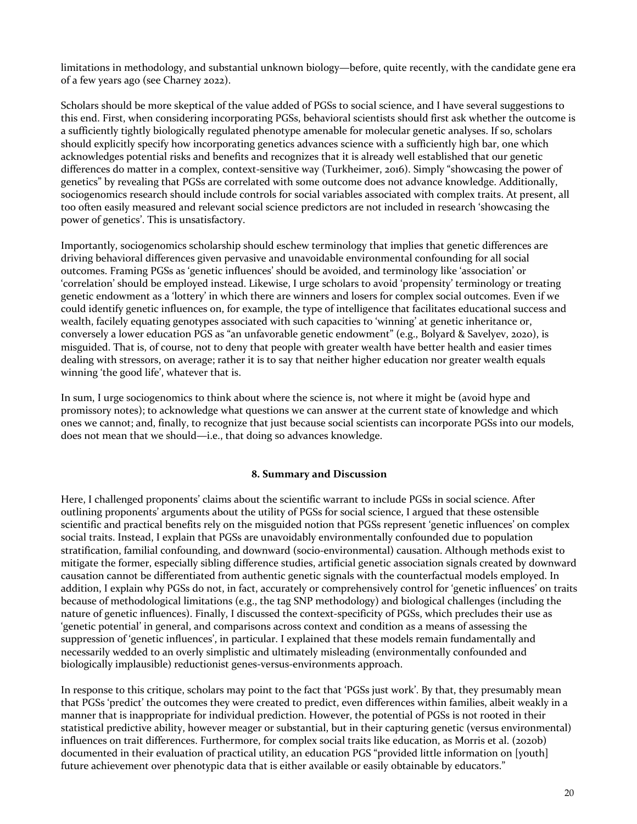limitations in methodology, and substantial unknown biology—before, quite recently, with the candidate gene era of a few years ago (see Charney 2022).

Scholars should be more skeptical of the value added of PGSs to social science, and I have several suggestions to this end. First, when considering incorporating PGSs, behavioral scientists should first ask whether the outcome is a sufficiently tightly biologically regulated phenotype amenable for molecular genetic analyses. If so, scholars should explicitly specify how incorporating genetics advances science with a sufficiently high bar, one which acknowledges potential risks and benefits and recognizes that it is already well established that our genetic differences do matter in a complex, context-sensitive way (Turkheimer, 2016). Simply "showcasing the power of genetics" by revealing that PGSs are correlated with some outcome does not advance knowledge. Additionally, sociogenomics research should include controls for social variables associated with complex traits. At present, all too often easily measured and relevant social science predictors are not included in research 'showcasing the power of genetics'. This is unsatisfactory.

Importantly, sociogenomics scholarship should eschew terminology that implies that genetic differences are driving behavioral differences given pervasive and unavoidable environmental confounding for all social outcomes. Framing PGSs as 'genetic influences' should be avoided, and terminology like 'association' or 'correlation' should be employed instead. Likewise, I urge scholars to avoid 'propensity' terminology or treating genetic endowment as a 'lottery' in which there are winners and losers for complex social outcomes. Even if we could identify genetic influences on, for example, the type of intelligence that facilitates educational success and wealth, facilely equating genotypes associated with such capacities to 'winning' at genetic inheritance or, conversely a lower education PGS as "an unfavorable genetic endowment" (e.g., Bolyard & Savelyev, 2020), is misguided. That is, of course, not to deny that people with greater wealth have better health and easier times dealing with stressors, on average; rather it is to say that neither higher education nor greater wealth equals winning 'the good life', whatever that is.

In sum, I urge sociogenomics to think about where the science is, not where it might be (avoid hype and promissory notes); to acknowledge what questions we can answer at the current state of knowledge and which ones we cannot; and, finally, to recognize that just because social scientists can incorporate PGSs into our models, does not mean that we should—i.e., that doing so advances knowledge.

#### **8. Summary and Discussion**

Here, I challenged proponents' claims about the scientific warrant to include PGSs in social science. After outlining proponents' arguments about the utility of PGSs for social science, I argued that these ostensible scientific and practical benefits rely on the misguided notion that PGSs represent 'genetic influences' on complex social traits. Instead, I explain that PGSs are unavoidably environmentally confounded due to population stratification, familial confounding, and downward (socio-environmental) causation. Although methods exist to mitigate the former, especially sibling difference studies, artificial genetic association signals created by downward causation cannot be differentiated from authentic genetic signals with the counterfactual models employed. In addition, I explain why PGSs do not, in fact, accurately or comprehensively control for 'genetic influences' on traits because of methodological limitations  $(e.g., the tag SNP methodology)$  and biological challenges (including the nature of genetic influences). Finally, I discussed the context-specificity of PGSs, which precludes their use as 'genetic potential' in general, and comparisons across context and condition as a means of assessing the suppression of 'genetic influences', in particular. I explained that these models remain fundamentally and necessarily wedded to an overly simplistic and ultimately misleading (environmentally confounded and biologically implausible) reductionist genes-versus-environments approach.

In response to this critique, scholars may point to the fact that 'PGSs just work'. By that, they presumably mean that PGSs 'predict' the outcomes they were created to predict, even differences within families, albeit weakly in a manner that is inappropriate for individual prediction. However, the potential of PGSs is not rooted in their statistical predictive ability, however meager or substantial, but in their capturing genetic (versus environmental) influences on trait differences. Furthermore, for complex social traits like education, as Morris et al. (2020b) documented in their evaluation of practical utility, an education PGS "provided little information on [youth] future achievement over phenotypic data that is either available or easily obtainable by educators."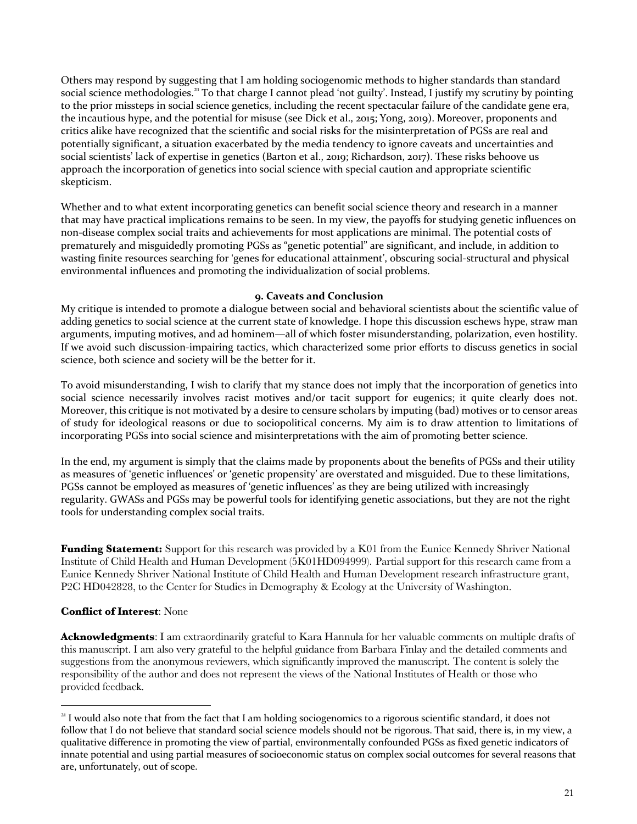Others may respond by suggesting that I am holding sociogenomic methods to higher standards than standard social science methodologies.<sup>21</sup> To that charge I cannot plead 'not guilty'. Instead, I justify my scrutiny by pointing to the prior missteps in social science genetics, including the recent spectacular failure of the candidate gene era, the incautious hype, and the potential for misuse (see Dick et al., 2015; Yong, 2019). Moreover, proponents and critics alike have recognized that the scientific and social risks for the misinterpretation of PGSs are real and potentially significant, a situation exacerbated by the media tendency to ignore caveats and uncertainties and social scientists' lack of expertise in genetics (Barton et al., 2019; Richardson, 2017). These risks behoove us approach the incorporation of genetics into social science with special caution and appropriate scientific skepticism. 

Whether and to what extent incorporating genetics can benefit social science theory and research in a manner that may have practical implications remains to be seen. In my view, the payoffs for studying genetic influences on non-disease complex social traits and achievements for most applications are minimal. The potential costs of prematurely and misguidedly promoting PGSs as "genetic potential" are significant, and include, in addition to wasting finite resources searching for 'genes for educational attainment', obscuring social-structural and physical environmental influences and promoting the individualization of social problems.

#### **9. Caveats and Conclusion**

My critique is intended to promote a dialogue between social and behavioral scientists about the scientific value of adding genetics to social science at the current state of knowledge. I hope this discussion eschews hype, straw man arguments, imputing motives, and ad hominem—all of which foster misunderstanding, polarization, even hostility. If we avoid such discussion-impairing tactics, which characterized some prior efforts to discuss genetics in social science, both science and society will be the better for it.

To avoid misunderstanding, I wish to clarify that my stance does not imply that the incorporation of genetics into social science necessarily involves racist motives and/or tacit support for eugenics; it quite clearly does not. Moreover, this critique is not motivated by a desire to censure scholars by imputing (bad) motives or to censor areas of study for ideological reasons or due to sociopolitical concerns. My aim is to draw attention to limitations of incorporating PGSs into social science and misinterpretations with the aim of promoting better science.

In the end, my argument is simply that the claims made by proponents about the benefits of PGSs and their utility as measures of 'genetic influences' or 'genetic propensity' are overstated and misguided. Due to these limitations, PGSs cannot be employed as measures of 'genetic influences' as they are being utilized with increasingly regularity. GWASs and PGSs may be powerful tools for identifying genetic associations, but they are not the right tools for understanding complex social traits.

**Funding Statement:** Support for this research was provided by a K01 from the Eunice Kennedy Shriver National Institute of Child Health and Human Development (5K01HD094999). Partial support for this research came from a Eunice Kennedy Shriver National Institute of Child Health and Human Development research infrastructure grant, P2C HD042828, to the Center for Studies in Demography & Ecology at the University of Washington.

# **Conflict of Interest**: None

**Acknowledgments**: I am extraordinarily grateful to Kara Hannula for her valuable comments on multiple drafts of this manuscript. I am also very grateful to the helpful guidance from Barbara Finlay and the detailed comments and suggestions from the anonymous reviewers, which significantly improved the manuscript. The content is solely the responsibility of the author and does not represent the views of the National Institutes of Health or those who provided feedback.

 $21$  I would also note that from the fact that I am holding sociogenomics to a rigorous scientific standard, it does not follow that I do not believe that standard social science models should not be rigorous. That said, there is, in my view, a qualitative difference in promoting the view of partial, environmentally confounded PGSs as fixed genetic indicators of innate potential and using partial measures of socioeconomic status on complex social outcomes for several reasons that are, unfortunately, out of scope.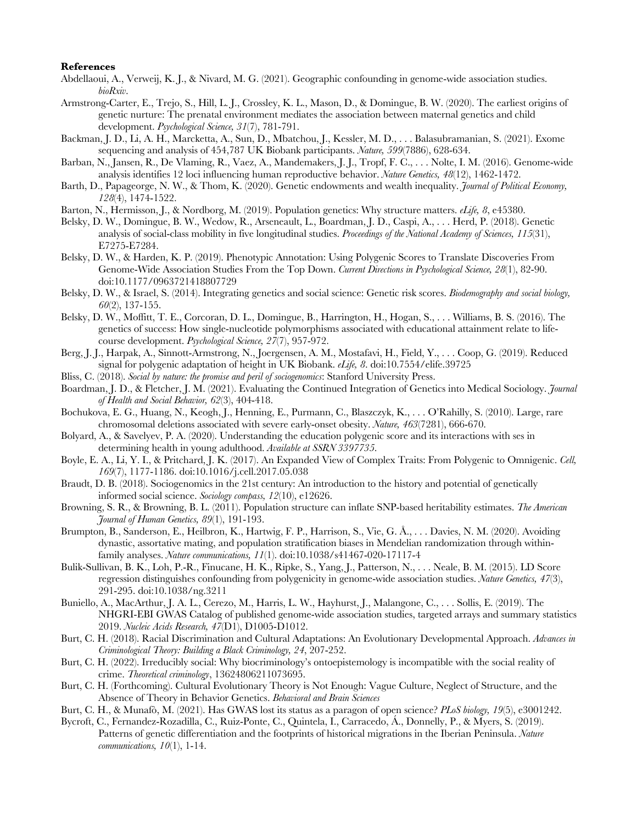#### **References**

- Abdellaoui, A., Verweij, K. J., & Nivard, M. G. (2021). Geographic confounding in genome-wide association studies. *bioRxiv*.
- Armstrong-Carter, E., Trejo, S., Hill, L. J., Crossley, K. L., Mason, D., & Domingue, B. W. (2020). The earliest origins of genetic nurture: The prenatal environment mediates the association between maternal genetics and child development. *Psychological Science, 31*(7), 781-791.
- Backman, J. D., Li, A. H., Marcketta, A., Sun, D., Mbatchou, J., Kessler, M. D., . . . Balasubramanian, S. (2021). Exome sequencing and analysis of 454,787 UK Biobank participants. *Nature, 599*(7886), 628-634.
- Barban, N., Jansen, R., De Vlaming, R., Vaez, A., Mandemakers, J. J., Tropf, F. C., . . . Nolte, I. M. (2016). Genome-wide analysis identifies 12 loci influencing human reproductive behavior. *Nature Genetics, 48*(12), 1462-1472.
- Barth, D., Papageorge, N. W., & Thom, K. (2020). Genetic endowments and wealth inequality. *Journal of Political Economy, 128*(4), 1474-1522.
- Barton, N., Hermisson, J., & Nordborg, M. (2019). Population genetics: Why structure matters. *eLife, 8*, e45380.
- Belsky, D. W., Domingue, B. W., Wedow, R., Arseneault, L., Boardman, J. D., Caspi, A., . . . Herd, P. (2018). Genetic analysis of social-class mobility in five longitudinal studies. *Proceedings of the National Academy of Sciences, 115*(31), E7275-E7284.
- Belsky, D. W., & Harden, K. P. (2019). Phenotypic Annotation: Using Polygenic Scores to Translate Discoveries From Genome-Wide Association Studies From the Top Down. *Current Directions in Psychological Science, 28*(1), 82-90. doi:10.1177/0963721418807729
- Belsky, D. W., & Israel, S. (2014). Integrating genetics and social science: Genetic risk scores. *Biodemography and social biology, 60*(2), 137-155.
- Belsky, D. W., Moffitt, T. E., Corcoran, D. L., Domingue, B., Harrington, H., Hogan, S., . . . Williams, B. S. (2016). The genetics of success: How single-nucleotide polymorphisms associated with educational attainment relate to lifecourse development. *Psychological Science, 27*(7), 957-972.
- Berg, J. J., Harpak, A., Sinnott-Armstrong, N., Joergensen, A. M., Mostafavi, H., Field, Y., . . . Coop, G. (2019). Reduced signal for polygenic adaptation of height in UK Biobank. *eLife, 8*. doi:10.7554/elife.39725
- Bliss, C. (2018). *Social by nature: the promise and peril of sociogenomics*: Stanford University Press.
- Boardman, J. D., & Fletcher, J. M. (2021). Evaluating the Continued Integration of Genetics into Medical Sociology. *Journal of Health and Social Behavior, 62*(3), 404-418.
- Bochukova, E. G., Huang, N., Keogh, J., Henning, E., Purmann, C., Blaszczyk, K., . . . O'Rahilly, S. (2010). Large, rare chromosomal deletions associated with severe early-onset obesity. *Nature, 463*(7281), 666-670.
- Bolyard, A., & Savelyev, P. A. (2020). Understanding the education polygenic score and its interactions with ses in determining health in young adulthood. *Available at SSRN 3397735*.
- Boyle, E. A., Li, Y. I., & Pritchard, J. K. (2017). An Expanded View of Complex Traits: From Polygenic to Omnigenic. *Cell, 169*(7), 1177-1186. doi:10.1016/j.cell.2017.05.038
- Braudt, D. B. (2018). Sociogenomics in the 21st century: An introduction to the history and potential of genetically informed social science. *Sociology compass, 12*(10), e12626.
- Browning, S. R., & Browning, B. L. (2011). Population structure can inflate SNP-based heritability estimates. *The American Journal of Human Genetics, 89*(1), 191-193.
- Brumpton, B., Sanderson, E., Heilbron, K., Hartwig, F. P., Harrison, S., Vie, G. Å., . . . Davies, N. M. (2020). Avoiding dynastic, assortative mating, and population stratification biases in Mendelian randomization through withinfamily analyses. *Nature communications, 11*(1). doi:10.1038/s41467-020-17117-4
- Bulik-Sullivan, B. K., Loh, P.-R., Finucane, H. K., Ripke, S., Yang, J., Patterson, N., . . . Neale, B. M. (2015). LD Score regression distinguishes confounding from polygenicity in genome-wide association studies. *Nature Genetics, 47*(3), 291-295. doi:10.1038/ng.3211
- Buniello, A., MacArthur, J. A. L., Cerezo, M., Harris, L. W., Hayhurst, J., Malangone, C., . . . Sollis, E. (2019). The NHGRI-EBI GWAS Catalog of published genome-wide association studies, targeted arrays and summary statistics 2019. *Nucleic Acids Research, 47*(D1), D1005-D1012.
- Burt, C. H. (2018). Racial Discrimination and Cultural Adaptations: An Evolutionary Developmental Approach. *Advances in Criminological Theory: Building a Black Criminology, 24*, 207-252.
- Burt, C. H. (2022). Irreducibly social: Why biocriminology's ontoepistemology is incompatible with the social reality of crime. *Theoretical criminology*, 13624806211073695.
- Burt, C. H. (Forthcoming). Cultural Evolutionary Theory is Not Enough: Vague Culture, Neglect of Structure, and the Absence of Theory in Behavior Genetics. *Behavioral and Brain Sciences*
- Burt, C. H., & Munafò, M. (2021). Has GWAS lost its status as a paragon of open science? *PLoS biology, 19*(5), e3001242.
- Bycroft, C., Fernandez-Rozadilla, C., Ruiz-Ponte, C., Quintela, I., Carracedo, Á., Donnelly, P., & Myers, S. (2019). Patterns of genetic differentiation and the footprints of historical migrations in the Iberian Peninsula. *Nature communications, 10*(1), 1-14.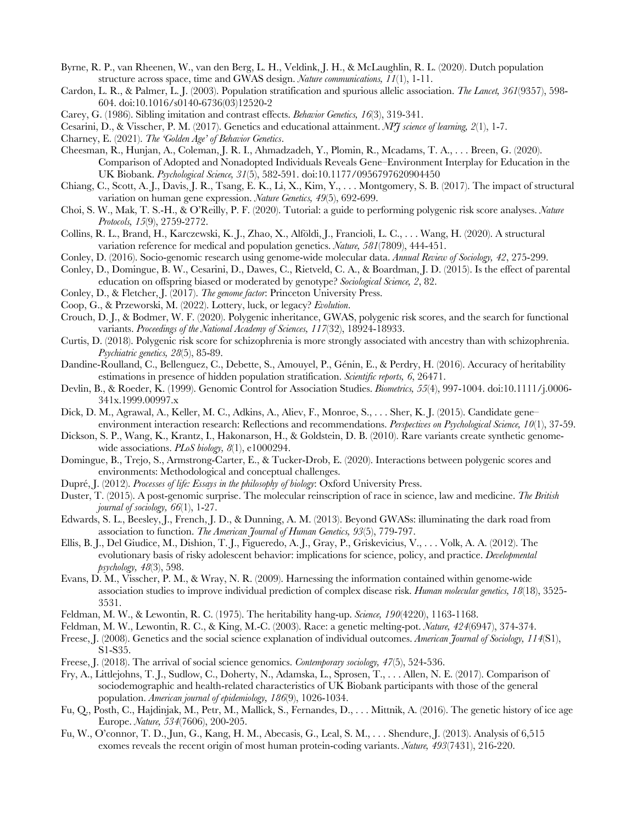- Byrne, R. P., van Rheenen, W., van den Berg, L. H., Veldink, J. H., & McLaughlin, R. L. (2020). Dutch population structure across space, time and GWAS design. *Nature communications, 11*(1), 1-11.
- Cardon, L. R., & Palmer, L. J. (2003). Population stratification and spurious allelic association. *The Lancet, 361*(9357), 598- 604. doi:10.1016/s0140-6736(03)12520-2
- Carey, G. (1986). Sibling imitation and contrast effects. *Behavior Genetics, 16*(3), 319-341.
- Cesarini, D., & Visscher, P. M. (2017). Genetics and educational attainment. *NPJ science of learning, 2*(1), 1-7.
- Charney, E. (2021). *The 'Golden Age' of Behavior Genetics*.
- Cheesman, R., Hunjan, A., Coleman, J. R. I., Ahmadzadeh, Y., Plomin, R., Mcadams, T. A., . . . Breen, G. (2020). Comparison of Adopted and Nonadopted Individuals Reveals Gene–Environment Interplay for Education in the UK Biobank. *Psychological Science, 31*(5), 582-591. doi:10.1177/0956797620904450
- Chiang, C., Scott, A. J., Davis, J. R., Tsang, E. K., Li, X., Kim, Y., . . . Montgomery, S. B. (2017). The impact of structural variation on human gene expression. *Nature Genetics, 49*(5), 692-699.
- Choi, S. W., Mak, T. S.-H., & O'Reilly, P. F. (2020). Tutorial: a guide to performing polygenic risk score analyses. *Nature Protocols, 15*(9), 2759-2772.
- Collins, R. L., Brand, H., Karczewski, K. J., Zhao, X., Alföldi, J., Francioli, L. C., . . . Wang, H. (2020). A structural variation reference for medical and population genetics. *Nature, 581*(7809), 444-451.
- Conley, D. (2016). Socio-genomic research using genome-wide molecular data. *Annual Review of Sociology, 42*, 275-299.
- Conley, D., Domingue, B. W., Cesarini, D., Dawes, C., Rietveld, C. A., & Boardman, J. D. (2015). Is the effect of parental education on offspring biased or moderated by genotype? *Sociological Science, 2*, 82.
- Conley, D., & Fletcher, J. (2017). *The genome factor*: Princeton University Press.
- Coop, G., & Przeworski, M. (2022). Lottery, luck, or legacy? *Evolution*.
- Crouch, D. J., & Bodmer, W. F. (2020). Polygenic inheritance, GWAS, polygenic risk scores, and the search for functional variants. *Proceedings of the National Academy of Sciences, 117*(32), 18924-18933.
- Curtis, D. (2018). Polygenic risk score for schizophrenia is more strongly associated with ancestry than with schizophrenia. *Psychiatric genetics, 28*(5), 85-89.
- Dandine-Roulland, C., Bellenguez, C., Debette, S., Amouyel, P., Génin, E., & Perdry, H. (2016). Accuracy of heritability estimations in presence of hidden population stratification. *Scientific reports, 6*, 26471.
- Devlin, B., & Roeder, K. (1999). Genomic Control for Association Studies. *Biometrics, 55*(4), 997-1004. doi:10.1111/j.0006- 341x.1999.00997.x
- Dick, D. M., Agrawal, A., Keller, M. C., Adkins, A., Aliev, F., Monroe, S., . . . Sher, K. J. (2015). Candidate gene– environment interaction research: Reflections and recommendations. *Perspectives on Psychological Science, 10*(1), 37-59.
- Dickson, S. P., Wang, K., Krantz, I., Hakonarson, H., & Goldstein, D. B. (2010). Rare variants create synthetic genomewide associations. *PLoS biology, 8*(1), e1000294.
- Domingue, B., Trejo, S., Armstrong-Carter, E., & Tucker-Drob, E. (2020). Interactions between polygenic scores and environments: Methodological and conceptual challenges.
- Dupré, J. (2012). *Processes of life: Essays in the philosophy of biology*: Oxford University Press.
- Duster, T. (2015). A post‐genomic surprise. The molecular reinscription of race in science, law and medicine. *The British journal of sociology, 66*(1), 1-27.
- Edwards, S. L., Beesley, J., French, J. D., & Dunning, A. M. (2013). Beyond GWASs: illuminating the dark road from association to function. *The American Journal of Human Genetics, 93*(5), 779-797.
- Ellis, B. J., Del Giudice, M., Dishion, T. J., Figueredo, A. J., Gray, P., Griskevicius, V., . . . Volk, A. A. (2012). The evolutionary basis of risky adolescent behavior: implications for science, policy, and practice. *Developmental psychology, 48*(3), 598.
- Evans, D. M., Visscher, P. M., & Wray, N. R. (2009). Harnessing the information contained within genome-wide association studies to improve individual prediction of complex disease risk. *Human molecular genetics, 18*(18), 3525- 3531.
- Feldman, M. W., & Lewontin, R. C. (1975). The heritability hang-up. *Science, 190*(4220), 1163-1168.
- Feldman, M. W., Lewontin, R. C., & King, M.-C. (2003). Race: a genetic melting-pot. *Nature, 424*(6947), 374-374.
- Freese, J. (2008). Genetics and the social science explanation of individual outcomes. *American Journal of Sociology, 114*(S1), S1-S35.
- Freese, J. (2018). The arrival of social science genomics. *Contemporary sociology, 47*(5), 524-536.
- Fry, A., Littlejohns, T. J., Sudlow, C., Doherty, N., Adamska, L., Sprosen, T., . . . Allen, N. E. (2017). Comparison of sociodemographic and health-related characteristics of UK Biobank participants with those of the general population. *American journal of epidemiology, 186*(9), 1026-1034.
- Fu, Q., Posth, C., Hajdinjak, M., Petr, M., Mallick, S., Fernandes, D., . . . Mittnik, A. (2016). The genetic history of ice age Europe. *Nature, 534*(7606), 200-205.
- Fu, W., O'connor, T. D., Jun, G., Kang, H. M., Abecasis, G., Leal, S. M., . . . Shendure, J. (2013). Analysis of 6,515 exomes reveals the recent origin of most human protein-coding variants. *Nature, 493*(7431), 216-220.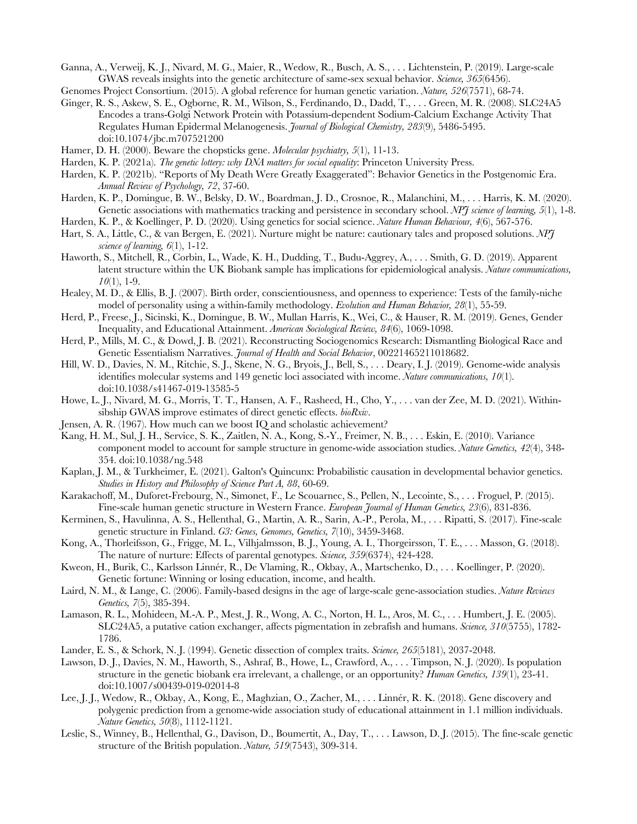Ganna, A., Verweij, K. J., Nivard, M. G., Maier, R., Wedow, R., Busch, A. S., . . . Lichtenstein, P. (2019). Large-scale GWAS reveals insights into the genetic architecture of same-sex sexual behavior. *Science, 365*(6456).

- Ginger, R. S., Askew, S. E., Ogborne, R. M., Wilson, S., Ferdinando, D., Dadd, T., . . . Green, M. R. (2008). SLC24A5 Encodes a trans-Golgi Network Protein with Potassium-dependent Sodium-Calcium Exchange Activity That Regulates Human Epidermal Melanogenesis. *Journal of Biological Chemistry, 283*(9), 5486-5495. doi:10.1074/jbc.m707521200
- Hamer, D. H. (2000). Beware the chopsticks gene. *Molecular psychiatry, 5*(1), 11-13.
- Harden, K. P. (2021a). *The genetic lottery: why DNA matters for social equality*: Princeton University Press.
- Harden, K. P. (2021b). "Reports of My Death Were Greatly Exaggerated": Behavior Genetics in the Postgenomic Era. *Annual Review of Psychology, 72*, 37-60.
- Harden, K. P., Domingue, B. W., Belsky, D. W., Boardman, J. D., Crosnoe, R., Malanchini, M., . . . Harris, K. M. (2020). Genetic associations with mathematics tracking and persistence in secondary school. *NPJ science of learning, 5*(1), 1-8.
- Harden, K. P., & Koellinger, P. D. (2020). Using genetics for social science. *Nature Human Behaviour, 4*(6), 567-576.
- Hart, S. A., Little, C., & van Bergen, E. (2021). Nurture might be nature: cautionary tales and proposed solutions. *NPJ science of learning, 6*(1), 1-12.
- Haworth, S., Mitchell, R., Corbin, L., Wade, K. H., Dudding, T., Budu-Aggrey, A., . . . Smith, G. D. (2019). Apparent latent structure within the UK Biobank sample has implications for epidemiological analysis. *Nature communications, 10*(1), 1-9.
- Healey, M. D., & Ellis, B. J. (2007). Birth order, conscientiousness, and openness to experience: Tests of the family-niche model of personality using a within-family methodology. *Evolution and Human Behavior, 28*(1), 55-59.
- Herd, P., Freese, J., Sicinski, K., Domingue, B. W., Mullan Harris, K., Wei, C., & Hauser, R. M. (2019). Genes, Gender Inequality, and Educational Attainment. *American Sociological Review, 84*(6), 1069-1098.
- Herd, P., Mills, M. C., & Dowd, J. B. (2021). Reconstructing Sociogenomics Research: Dismantling Biological Race and Genetic Essentialism Narratives. *Journal of Health and Social Behavior*, 00221465211018682.
- Hill, W. D., Davies, N. M., Ritchie, S. J., Skene, N. G., Bryois, J., Bell, S., . . . Deary, I. J. (2019). Genome-wide analysis identifies molecular systems and 149 genetic loci associated with income. *Nature communications, 10*(1). doi:10.1038/s41467-019-13585-5
- Howe, L. J., Nivard, M. G., Morris, T. T., Hansen, A. F., Rasheed, H., Cho, Y., . . . van der Zee, M. D. (2021). Withinsibship GWAS improve estimates of direct genetic effects. *bioRxiv*.
- Jensen, A. R. (1967). How much can we boost IQ and scholastic achievement?
- Kang, H. M., Sul, J. H., Service, S. K., Zaitlen, N. A., Kong, S.-Y., Freimer, N. B., . . . Eskin, E. (2010). Variance component model to account for sample structure in genome-wide association studies. *Nature Genetics, 42*(4), 348- 354. doi:10.1038/ng.548
- Kaplan, J. M., & Turkheimer, E. (2021). Galton's Quincunx: Probabilistic causation in developmental behavior genetics. *Studies in History and Philosophy of Science Part A, 88*, 60-69.
- Karakachoff, M., Duforet-Frebourg, N., Simonet, F., Le Scouarnec, S., Pellen, N., Lecointe, S., . . . Froguel, P. (2015). Fine-scale human genetic structure in Western France. *European Journal of Human Genetics, 23*(6), 831-836.
- Kerminen, S., Havulinna, A. S., Hellenthal, G., Martin, A. R., Sarin, A.-P., Perola, M., . . . Ripatti, S. (2017). Fine-scale genetic structure in Finland. *G3: Genes, Genomes, Genetics, 7*(10), 3459-3468.
- Kong, A., Thorleifsson, G., Frigge, M. L., Vilhjalmsson, B. J., Young, A. I., Thorgeirsson, T. E., . . . Masson, G. (2018). The nature of nurture: Effects of parental genotypes. *Science, 359*(6374), 424-428.
- Kweon, H., Burik, C., Karlsson Linnér, R., De Vlaming, R., Okbay, A., Martschenko, D., . . . Koellinger, P. (2020). Genetic fortune: Winning or losing education, income, and health.
- Laird, N. M., & Lange, C. (2006). Family-based designs in the age of large-scale gene-association studies. *Nature Reviews Genetics, 7*(5), 385-394.
- Lamason, R. L., Mohideen, M.-A. P., Mest, J. R., Wong, A. C., Norton, H. L., Aros, M. C., . . . Humbert, J. E. (2005). SLC24A5, a putative cation exchanger, affects pigmentation in zebrafish and humans. *Science, 310*(5755), 1782- 1786.
- Lander, E. S., & Schork, N. J. (1994). Genetic dissection of complex traits. *Science, 265*(5181), 2037-2048.
- Lawson, D. J., Davies, N. M., Haworth, S., Ashraf, B., Howe, L., Crawford, A., . . . Timpson, N. J. (2020). Is population structure in the genetic biobank era irrelevant, a challenge, or an opportunity? *Human Genetics, 139*(1), 23-41. doi:10.1007/s00439-019-02014-8
- Lee, J. J., Wedow, R., Okbay, A., Kong, E., Maghzian, O., Zacher, M., . . . Linnér, R. K. (2018). Gene discovery and polygenic prediction from a genome-wide association study of educational attainment in 1.1 million individuals. *Nature Genetics, 50*(8), 1112-1121.
- Leslie, S., Winney, B., Hellenthal, G., Davison, D., Boumertit, A., Day, T., . . . Lawson, D. J. (2015). The fine-scale genetic structure of the British population. *Nature, 519*(7543), 309-314.

Genomes Project Consortium. (2015). A global reference for human genetic variation. *Nature, 526*(7571), 68-74.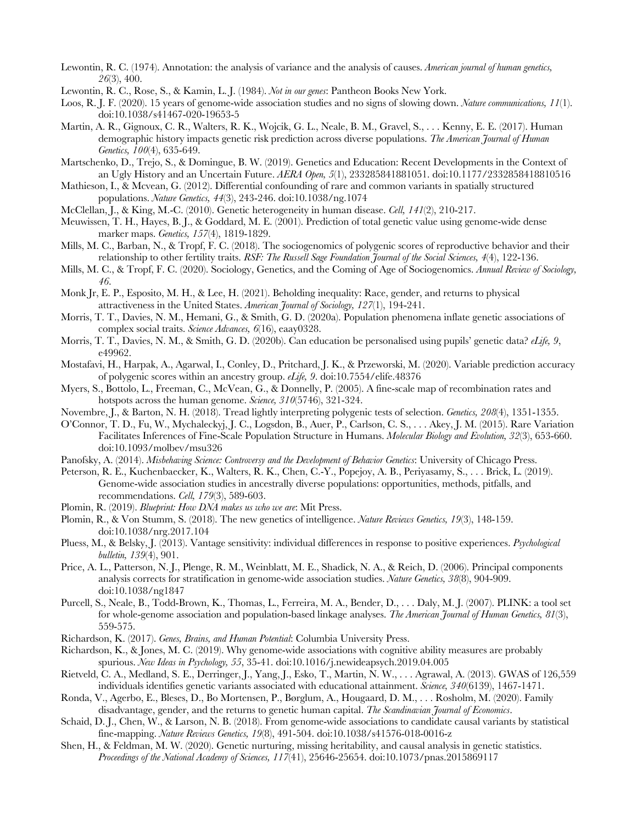- Lewontin, R. C. (1974). Annotation: the analysis of variance and the analysis of causes. *American journal of human genetics, 26*(3), 400.
- Lewontin, R. C., Rose, S., & Kamin, L. J. (1984). *Not in our genes*: Pantheon Books New York.
- Loos, R. J. F. (2020). 15 years of genome-wide association studies and no signs of slowing down. *Nature communications, 11*(1). doi:10.1038/s41467-020-19653-5
- Martin, A. R., Gignoux, C. R., Walters, R. K., Wojcik, G. L., Neale, B. M., Gravel, S., . . . Kenny, E. E. (2017). Human demographic history impacts genetic risk prediction across diverse populations. *The American Journal of Human Genetics, 100*(4), 635-649.
- Martschenko, D., Trejo, S., & Domingue, B. W. (2019). Genetics and Education: Recent Developments in the Context of an Ugly History and an Uncertain Future. *AERA Open, 5*(1), 233285841881051. doi:10.1177/2332858418810516
- Mathieson, I., & Mcvean, G. (2012). Differential confounding of rare and common variants in spatially structured populations. *Nature Genetics, 44*(3), 243-246. doi:10.1038/ng.1074
- McClellan, J., & King, M.-C. (2010). Genetic heterogeneity in human disease. *Cell, 141*(2), 210-217.
- Meuwissen, T. H., Hayes, B. J., & Goddard, M. E. (2001). Prediction of total genetic value using genome-wide dense marker maps. *Genetics, 157*(4), 1819-1829.
- Mills, M. C., Barban, N., & Tropf, F. C. (2018). The sociogenomics of polygenic scores of reproductive behavior and their relationship to other fertility traits. *RSF: The Russell Sage Foundation Journal of the Social Sciences, 4*(4), 122-136.
- Mills, M. C., & Tropf, F. C. (2020). Sociology, Genetics, and the Coming of Age of Sociogenomics. *Annual Review of Sociology, 46*.
- Monk Jr, E. P., Esposito, M. H., & Lee, H. (2021). Beholding inequality: Race, gender, and returns to physical attractiveness in the United States. *American Journal of Sociology, 127*(1), 194-241.
- Morris, T. T., Davies, N. M., Hemani, G., & Smith, G. D. (2020a). Population phenomena inflate genetic associations of complex social traits. *Science Advances, 6*(16), eaay0328.
- Morris, T. T., Davies, N. M., & Smith, G. D. (2020b). Can education be personalised using pupils' genetic data? *eLife, 9*, e49962.
- Mostafavi, H., Harpak, A., Agarwal, I., Conley, D., Pritchard, J. K., & Przeworski, M. (2020). Variable prediction accuracy of polygenic scores within an ancestry group. *eLife, 9*. doi:10.7554/elife.48376
- Myers, S., Bottolo, L., Freeman, C., McVean, G., & Donnelly, P. (2005). A fine-scale map of recombination rates and hotspots across the human genome. *Science, 310*(5746), 321-324.
- Novembre, J., & Barton, N. H. (2018). Tread lightly interpreting polygenic tests of selection. *Genetics, 208*(4), 1351-1355.
- O'Connor, T. D., Fu, W., Mychaleckyj, J. C., Logsdon, B., Auer, P., Carlson, C. S., . . . Akey, J. M. (2015). Rare Variation Facilitates Inferences of Fine-Scale Population Structure in Humans. *Molecular Biology and Evolution, 32*(3), 653-660. doi:10.1093/molbev/msu326
- Panofsky, A. (2014). *Misbehaving Science: Controversy and the Development of Behavior Genetics*: University of Chicago Press.
- Peterson, R. E., Kuchenbaecker, K., Walters, R. K., Chen, C.-Y., Popejoy, A. B., Periyasamy, S., . . . Brick, L. (2019). Genome-wide association studies in ancestrally diverse populations: opportunities, methods, pitfalls, and recommendations. *Cell, 179*(3), 589-603.
- Plomin, R. (2019). *Blueprint: How DNA makes us who we are*: Mit Press.
- Plomin, R., & Von Stumm, S. (2018). The new genetics of intelligence. *Nature Reviews Genetics, 19*(3), 148-159. doi:10.1038/nrg.2017.104
- Pluess, M., & Belsky, J. (2013). Vantage sensitivity: individual differences in response to positive experiences. *Psychological bulletin, 139*(4), 901.
- Price, A. L., Patterson, N. J., Plenge, R. M., Weinblatt, M. E., Shadick, N. A., & Reich, D. (2006). Principal components analysis corrects for stratification in genome-wide association studies. *Nature Genetics, 38*(8), 904-909. doi:10.1038/ng1847
- Purcell, S., Neale, B., Todd-Brown, K., Thomas, L., Ferreira, M. A., Bender, D., . . . Daly, M. J. (2007). PLINK: a tool set for whole-genome association and population-based linkage analyses. *The American Journal of Human Genetics, 81*(3), 559-575.
- Richardson, K. (2017). *Genes, Brains, and Human Potential*: Columbia University Press.
- Richardson, K., & Jones, M. C. (2019). Why genome-wide associations with cognitive ability measures are probably spurious. *New Ideas in Psychology, 55*, 35-41. doi:10.1016/j.newideapsych.2019.04.005
- Rietveld, C. A., Medland, S. E., Derringer, J., Yang, J., Esko, T., Martin, N. W., . . . Agrawal, A. (2013). GWAS of 126,559 individuals identifies genetic variants associated with educational attainment. *Science, 340*(6139), 1467-1471.
- Ronda, V., Agerbo, E., Bleses, D., Bo Mortensen, P., Børglum, A., Hougaard, D. M., . . . Rosholm, M. (2020). Family disadvantage, gender, and the returns to genetic human capital. *The Scandinavian Journal of Economics*.
- Schaid, D. J., Chen, W., & Larson, N. B. (2018). From genome-wide associations to candidate causal variants by statistical fine-mapping. *Nature Reviews Genetics, 19*(8), 491-504. doi:10.1038/s41576-018-0016-z
- Shen, H., & Feldman, M. W. (2020). Genetic nurturing, missing heritability, and causal analysis in genetic statistics. *Proceedings of the National Academy of Sciences, 117*(41), 25646-25654. doi:10.1073/pnas.2015869117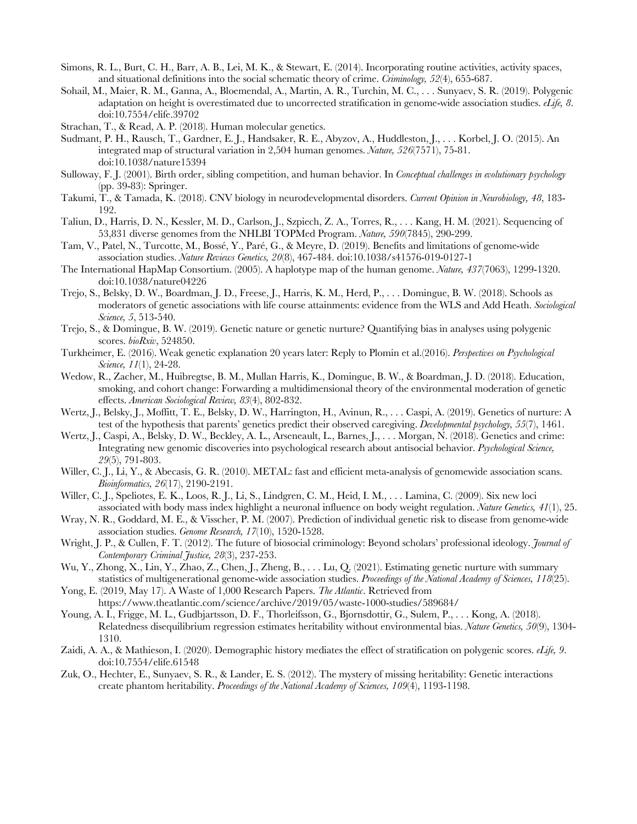- Simons, R. L., Burt, C. H., Barr, A. B., Lei, M. K., & Stewart, E. (2014). Incorporating routine activities, activity spaces, and situational definitions into the social schematic theory of crime. *Criminology, 52*(4), 655-687.
- Sohail, M., Maier, R. M., Ganna, A., Bloemendal, A., Martin, A. R., Turchin, M. C., . . . Sunyaev, S. R. (2019). Polygenic adaptation on height is overestimated due to uncorrected stratification in genome-wide association studies. *eLife, 8*. doi:10.7554/elife.39702
- Strachan, T., & Read, A. P. (2018). Human molecular genetics.
- Sudmant, P. H., Rausch, T., Gardner, E. J., Handsaker, R. E., Abyzov, A., Huddleston, J., . . . Korbel, J. O. (2015). An integrated map of structural variation in 2,504 human genomes. *Nature, 526*(7571), 75-81. doi:10.1038/nature15394
- Sulloway, F. J. (2001). Birth order, sibling competition, and human behavior. In *Conceptual challenges in evolutionary psychology* (pp. 39-83): Springer.
- Takumi, T., & Tamada, K. (2018). CNV biology in neurodevelopmental disorders. *Current Opinion in Neurobiology, 48*, 183- 192.
- Taliun, D., Harris, D. N., Kessler, M. D., Carlson, J., Szpiech, Z. A., Torres, R., . . . Kang, H. M. (2021). Sequencing of 53,831 diverse genomes from the NHLBI TOPMed Program. *Nature, 590*(7845), 290-299.
- Tam, V., Patel, N., Turcotte, M., Bossé, Y., Paré, G., & Meyre, D. (2019). Benefits and limitations of genome-wide association studies. *Nature Reviews Genetics, 20*(8), 467-484. doi:10.1038/s41576-019-0127-1
- The International HapMap Consortium. (2005). A haplotype map of the human genome. *Nature, 437*(7063), 1299-1320. doi:10.1038/nature04226
- Trejo, S., Belsky, D. W., Boardman, J. D., Freese, J., Harris, K. M., Herd, P., . . . Domingue, B. W. (2018). Schools as moderators of genetic associations with life course attainments: evidence from the WLS and Add Heath. *Sociological Science, 5*, 513-540.
- Trejo, S., & Domingue, B. W. (2019). Genetic nature or genetic nurture? Quantifying bias in analyses using polygenic scores. *bioRxiv*, 524850.
- Turkheimer, E. (2016). Weak genetic explanation 20 years later: Reply to Plomin et al.(2016). *Perspectives on Psychological Science, 11*(1), 24-28.
- Wedow, R., Zacher, M., Huibregtse, B. M., Mullan Harris, K., Domingue, B. W., & Boardman, J. D. (2018). Education, smoking, and cohort change: Forwarding a multidimensional theory of the environmental moderation of genetic effects. *American Sociological Review, 83*(4), 802-832.
- Wertz, J., Belsky, J., Moffitt, T. E., Belsky, D. W., Harrington, H., Avinun, R., . . . Caspi, A. (2019). Genetics of nurture: A test of the hypothesis that parents' genetics predict their observed caregiving. *Developmental psychology, 55*(7), 1461.
- Wertz, J., Caspi, A., Belsky, D. W., Beckley, A. L., Arseneault, L., Barnes, J., . . . Morgan, N. (2018). Genetics and crime: Integrating new genomic discoveries into psychological research about antisocial behavior. *Psychological Science, 29*(5), 791-803.
- Willer, C. J., Li, Y., & Abecasis, G. R. (2010). METAL: fast and efficient meta-analysis of genomewide association scans. *Bioinformatics, 26*(17), 2190-2191.
- Willer, C. J., Speliotes, E. K., Loos, R. J., Li, S., Lindgren, C. M., Heid, I. M., . . . Lamina, C. (2009). Six new loci associated with body mass index highlight a neuronal influence on body weight regulation. *Nature Genetics, 41*(1), 25.
- Wray, N. R., Goddard, M. E., & Visscher, P. M. (2007). Prediction of individual genetic risk to disease from genome-wide association studies. *Genome Research, 17*(10), 1520-1528.
- Wright, J. P., & Cullen, F. T. (2012). The future of biosocial criminology: Beyond scholars' professional ideology. *Journal of Contemporary Criminal Justice, 28*(3), 237-253.
- Wu, Y., Zhong, X., Lin, Y., Zhao, Z., Chen, J., Zheng, B., . . . Lu, Q. (2021). Estimating genetic nurture with summary statistics of multigenerational genome-wide association studies. *Proceedings of the National Academy of Sciences, 118*(25).
- Yong, E. (2019, May 17). A Waste of 1,000 Research Papers. *The Atlantic*. Retrieved from https://www.theatlantic.com/science/archive/2019/05/waste-1000-studies/589684/
- Young, A. I., Frigge, M. L., Gudbjartsson, D. F., Thorleifsson, G., Bjornsdottir, G., Sulem, P., . . . Kong, A. (2018). Relatedness disequilibrium regression estimates heritability without environmental bias. *Nature Genetics, 50*(9), 1304- 1310.
- Zaidi, A. A., & Mathieson, I. (2020). Demographic history mediates the effect of stratification on polygenic scores. *eLife, 9*. doi:10.7554/elife.61548
- Zuk, O., Hechter, E., Sunyaev, S. R., & Lander, E. S. (2012). The mystery of missing heritability: Genetic interactions create phantom heritability. *Proceedings of the National Academy of Sciences, 109*(4), 1193-1198.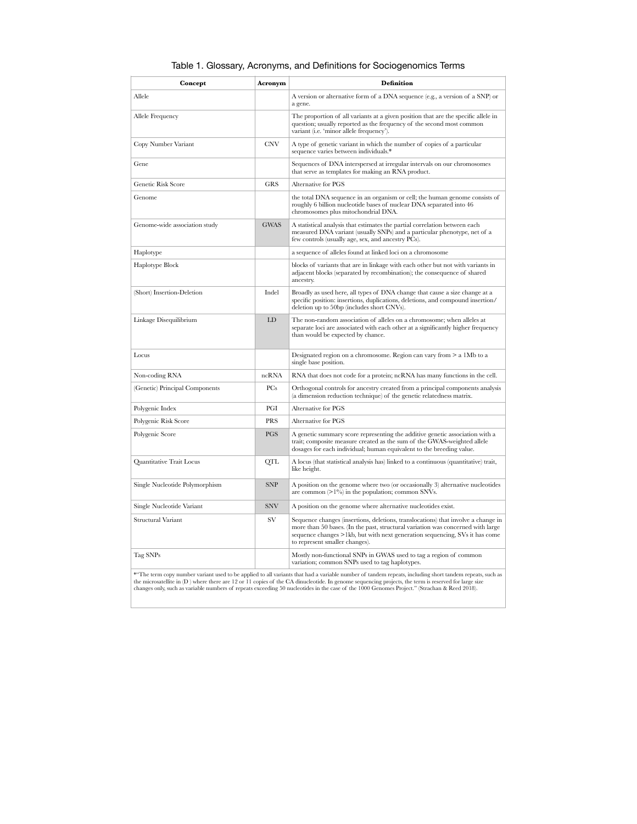# Table 1. Glossary, Acronyms, and Definitions for Sociogenomics Terms

| Concept                                                                                                                                                 | Acronym     | <b>Definition</b>                                                                                                                                                                                                                                                                     |
|---------------------------------------------------------------------------------------------------------------------------------------------------------|-------------|---------------------------------------------------------------------------------------------------------------------------------------------------------------------------------------------------------------------------------------------------------------------------------------|
| Allele                                                                                                                                                  |             | A version or alternative form of a DNA sequence (e.g., a version of a SNP) or<br>a gene.                                                                                                                                                                                              |
| Allele Frequency                                                                                                                                        |             | The proportion of all variants at a given position that are the specific allele in<br>question; usually reported as the frequency of the second most common<br>variant (i.e. 'minor allele frequency').                                                                               |
| Copy Number Variant                                                                                                                                     | <b>CNV</b>  | A type of genetic variant in which the number of copies of a particular<br>sequence varies between individuals.*                                                                                                                                                                      |
| Gene                                                                                                                                                    |             | Sequences of DNA interspersed at irregular intervals on our chromosomes<br>that serve as templates for making an RNA product.                                                                                                                                                         |
| Genetic Risk Score                                                                                                                                      | <b>GRS</b>  | Alternative for PGS                                                                                                                                                                                                                                                                   |
| Genome                                                                                                                                                  |             | the total DNA sequence in an organism or cell; the human genome consists of<br>roughly 6 billion nucleotide bases of nuclear DNA separated into 46<br>chromosomes plus mitochondrial DNA.                                                                                             |
| Genome-wide association study                                                                                                                           | <b>GWAS</b> | A statistical analysis that estimates the partial correlation between each<br>measured DNA variant (usually SNPs) and a particular phenotype, net of a<br>few controls (usually age, sex, and ancestry PCs).                                                                          |
| Haplotype                                                                                                                                               |             | a sequence of alleles found at linked loci on a chromosome                                                                                                                                                                                                                            |
| Haplotype Block                                                                                                                                         |             | blocks of variants that are in linkage with each other but not with variants in<br>adjacent blocks (separated by recombination); the consequence of shared<br>ancestry.                                                                                                               |
| (Short) Insertion-Deletion                                                                                                                              | Indel       | Broadly as used here, all types of DNA change that cause a size change at a<br>specific position: insertions, duplications, deletions, and compound insertion/<br>deletion up to 50bp (includes short CNVs).                                                                          |
| Linkage Disequilibrium                                                                                                                                  | LD          | The non-random association of alleles on a chromosome; when alleles at<br>separate loci are associated with each other at a significantly higher frequency<br>than would be expected by chance.                                                                                       |
| Locus                                                                                                                                                   |             | Designated region on a chromosome. Region can vary from $> a$ 1Mb to a<br>single base position.                                                                                                                                                                                       |
| Non-coding RNA                                                                                                                                          | ncRNA       | RNA that does not code for a protein; ncRNA has many functions in the cell.                                                                                                                                                                                                           |
| (Genetic) Principal Components                                                                                                                          | PCs         | Orthogonal controls for ancestry created from a principal components analysis<br>(a dimension reduction technique) of the genetic relatedness matrix.                                                                                                                                 |
| Polygenic Index                                                                                                                                         | PGI         | Alternative for PGS                                                                                                                                                                                                                                                                   |
| Polygenic Risk Score                                                                                                                                    | <b>PRS</b>  | Alternative for PGS                                                                                                                                                                                                                                                                   |
| Polygenic Score                                                                                                                                         | <b>PGS</b>  | A genetic summary score representing the additive genetic association with a<br>trait; composite measure created as the sum of the GWAS-weighted allele<br>dosages for each individual; human equivalent to the breeding value.                                                       |
| Quantitative Trait Locus                                                                                                                                | <b>QTL</b>  | A locus (that statistical analysis has) linked to a continuous (quantitative) trait,<br>like height.                                                                                                                                                                                  |
| Single Nucleotide Polymorphism                                                                                                                          | <b>SNP</b>  | A position on the genome where two (or occasionally 3) alternative nucleotides<br>are common $(>1\%)$ in the population; common SNVs.                                                                                                                                                 |
| Single Nucleotide Variant                                                                                                                               | <b>SNV</b>  | A position on the genome where alternative nucleotides exist.                                                                                                                                                                                                                         |
| <b>Structural Variant</b>                                                                                                                               | <b>SV</b>   | Sequence changes (insertions, deletions, translocations) that involve a change in<br>more than 50 bases. (In the past, structural variation was concerned with large<br>sequence changes >1kb, but with next generation sequencing, SVs it has come<br>to represent smaller changes). |
| Tag SNPs                                                                                                                                                |             | Mostly non-functional SNPs in GWAS used to tag a region of common<br>variation; common SNPs used to tag haplotypes.                                                                                                                                                                   |
| *"The term copy number variant used to be applied to all variants that had a variable number of tandem repeats, including short tandem repeats, such as |             |                                                                                                                                                                                                                                                                                       |

the microsatellite in (D ) where there are 12 or 11 copies of the CA dinucleotide. In genome sequencing projects, the term is reserved for large size changes only, such as variable numbers of repeats exceeding 50 nucleotides in the case of the 1000 Genomes Project." (Strachan & Reed 2018).

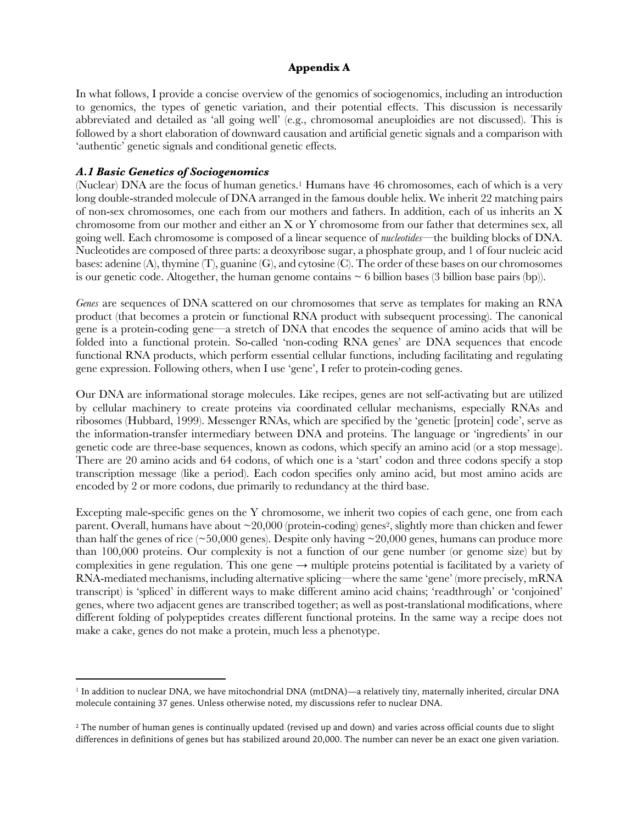#### **Appendix A**

In what follows, I provide a concise overview of the genomics of sociogenomics, including an introduction to genomics, the types of genetic variation, and their potential effects. This discussion is necessarily abbreviated and detailed as 'all going well' (e.g., chromosomal aneuploidies are not discussed). This is followed by a short elaboration of downward causation and artificial genetic signals and a comparison with 'authentic' genetic signals and conditional genetic effects.

#### *A.1 Basic Genetics of Sociogenomics*

(Nuclear) DNA are the focus of human genetics.1 Humans have 46 chromosomes, each of which is a very long double-stranded molecule of DNA arranged in the famous double helix. We inherit 22 matching pairs of non-sex chromosomes, one each from our mothers and fathers. In addition, each of us inherits an X chromosome from our mother and either an X or Y chromosome from our father that determines sex, all going well. Each chromosome is composed of a linear sequence of *nucleotides*—the building blocks of DNA. Nucleotides are composed of three parts: a deoxyribose sugar, a phosphate group, and 1 of four nucleic acid bases: adenine (A), thymine (T), guanine (G), and cytosine (C). The order of these bases on our chromosomes is our genetic code. Altogether, the human genome contains  $\sim 6$  billion bases (3 billion base pairs (bp)).

*Genes* are sequences of DNA scattered on our chromosomes that serve as templates for making an RNA product (that becomes a protein or functional RNA product with subsequent processing). The canonical gene is a protein-coding gene—a stretch of DNA that encodes the sequence of amino acids that will be folded into a functional protein. So-called 'non-coding RNA genes' are DNA sequences that encode functional RNA products, which perform essential cellular functions, including facilitating and regulating gene expression. Following others, when I use 'gene', I refer to protein-coding genes.

Our DNA are informational storage molecules. Like recipes, genes are not self-activating but are utilized by cellular machinery to create proteins via coordinated cellular mechanisms, especially RNAs and ribosomes (Hubbard, 1999). Messenger RNAs, which are specified by the 'genetic [protein] code', serve as the information-transfer intermediary between DNA and proteins. The language or 'ingredients' in our genetic code are three-base sequences, known as codons, which specify an amino acid (or a stop message). There are 20 amino acids and 64 codons, of which one is a 'start' codon and three codons specify a stop transcription message (like a period). Each codon specifies only amino acid, but most amino acids are encoded by 2 or more codons, due primarily to redundancy at the third base.

Excepting male-specific genes on the Y chromosome, we inherit two copies of each gene, one from each parent. Overall, humans have about  $\sim$  20,000 (protein-coding) genes<sup>2</sup>, slightly more than chicken and fewer than half the genes of rice ( $\sim$ 50,000 genes). Despite only having  $\sim$  20,000 genes, humans can produce more than 100,000 proteins. Our complexity is not a function of our gene number (or genome size) but by complexities in gene regulation. This one gene  $\rightarrow$  multiple proteins potential is facilitated by a variety of RNA-mediated mechanisms, including alternative splicing—where the same 'gene' (more precisely, mRNA transcript) is 'spliced' in different ways to make different amino acid chains; 'readthrough' or 'conjoined' genes, where two adjacent genes are transcribed together; as well as post-translational modifications, where different folding of polypeptides creates different functional proteins. In the same way a recipe does not make a cake, genes do not make a protein, much less a phenotype.

<sup>&</sup>lt;sup>1</sup> In addition to nuclear DNA, we have mitochondrial DNA (mtDNA)—a relatively tiny, maternally inherited, circular DNA molecule containing 37 genes. Unless otherwise noted, my discussions refer to nuclear DNA.

<sup>&</sup>lt;sup>2</sup> The number of human genes is continually updated (revised up and down) and varies across official counts due to slight differences in definitions of genes but has stabilized around 20,000. The number can never be an exact one given variation.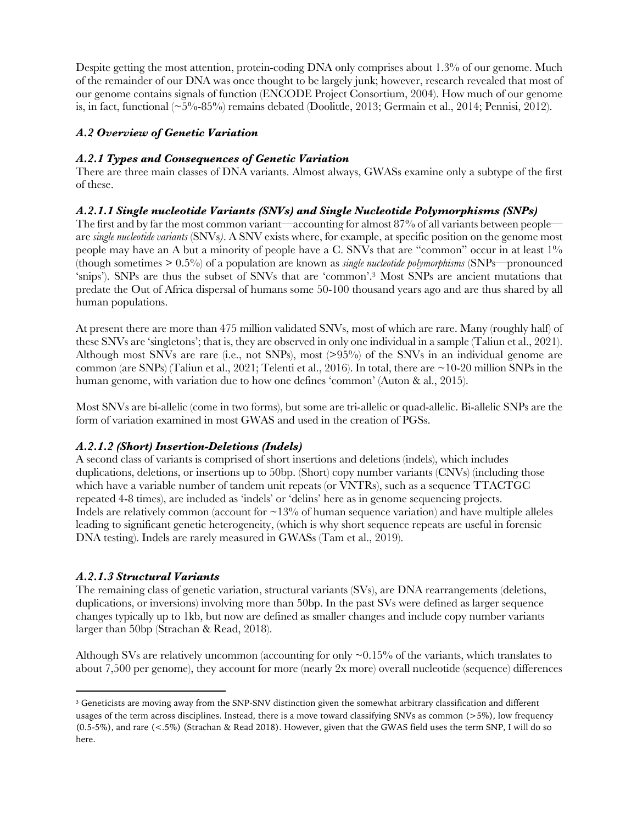Despite getting the most attention, protein-coding DNA only comprises about 1.3% of our genome. Much of the remainder of our DNA was once thought to be largely junk; however, research revealed that most of our genome contains signals of function (ENCODE Project Consortium, 2004). How much of our genome is, in fact, functional  $(\sim 5\% - 85\%)$  remains debated (Doolittle, 2013; Germain et al., 2014; Pennisi, 2012).

# *A.2 Overview of Genetic Variation*

# *A.2.1 Types and Consequences of Genetic Variation*

There are three main classes of DNA variants. Almost always, GWASs examine only a subtype of the first of these.

# *A.2.1.1 Single nucleotide Variants (SNVs) and Single Nucleotide Polymorphisms (SNPs)*

The first and by far the most common variant—accounting for almost  $87\%$  of all variants between people are *single nucleotide variants* (SNVs*)*. A SNV exists where, for example, at specific position on the genome most people may have an A but a minority of people have a C. SNVs that are "common" occur in at least 1% (though sometimes > 0.5%) of a population are known as *single nucleotide polymorphisms* (SNPs—pronounced 'snips'). SNPs are thus the subset of SNVs that are 'common'.3 Most SNPs are ancient mutations that predate the Out of Africa dispersal of humans some 50-100 thousand years ago and are thus shared by all human populations.

At present there are more than 475 million validated SNVs, most of which are rare. Many (roughly half) of these SNVs are 'singletons'; that is, they are observed in only one individual in a sample (Taliun et al., 2021). Although most SNVs are rare (i.e., not SNPs), most (>95%) of the SNVs in an individual genome are common (are SNPs) (Taliun et al., 2021; Telenti et al., 2016). In total, there are  $\sim$ 10-20 million SNPs in the human genome, with variation due to how one defines 'common' (Auton & al., 2015).

Most SNVs are bi-allelic (come in two forms), but some are tri-allelic or quad-allelic. Bi-allelic SNPs are the form of variation examined in most GWAS and used in the creation of PGSs.

# *A.2.1.2 (Short) Insertion-Deletions (Indels)*

A second class of variants is comprised of short insertions and deletions (indels), which includes duplications, deletions, or insertions up to 50bp. (Short) copy number variants (CNVs) (including those which have a variable number of tandem unit repeats (or VNTRs), such as a sequence TTACTGC repeated 4-8 times), are included as 'indels' or 'delins' here as in genome sequencing projects. Indels are relatively common (account for  $\sim$ 13% of human sequence variation) and have multiple alleles leading to significant genetic heterogeneity, (which is why short sequence repeats are useful in forensic DNA testing). Indels are rarely measured in GWASs (Tam et al., 2019).

# *A.2.1.3 Structural Variants*

The remaining class of genetic variation, structural variants (SVs), are DNA rearrangements (deletions, duplications, or inversions) involving more than 50bp. In the past SVs were defined as larger sequence changes typically up to 1kb, but now are defined as smaller changes and include copy number variants larger than 50bp (Strachan & Read, 2018).

Although SVs are relatively uncommon (accounting for only  $\sim 0.15\%$  of the variants, which translates to about 7,500 per genome), they account for more (nearly 2x more) overall nucleotide (sequence) differences

<sup>&</sup>lt;sup>3</sup> Geneticists are moving away from the SNP-SNV distinction given the somewhat arbitrary classification and different usages of the term across disciplines. Instead, there is a move toward classifying SNVs as common (>5%), low frequency (0.5-5%), and rare (<.5%) (Strachan & Read 2018). However, given that the GWAS field uses the term SNP, I will do so here.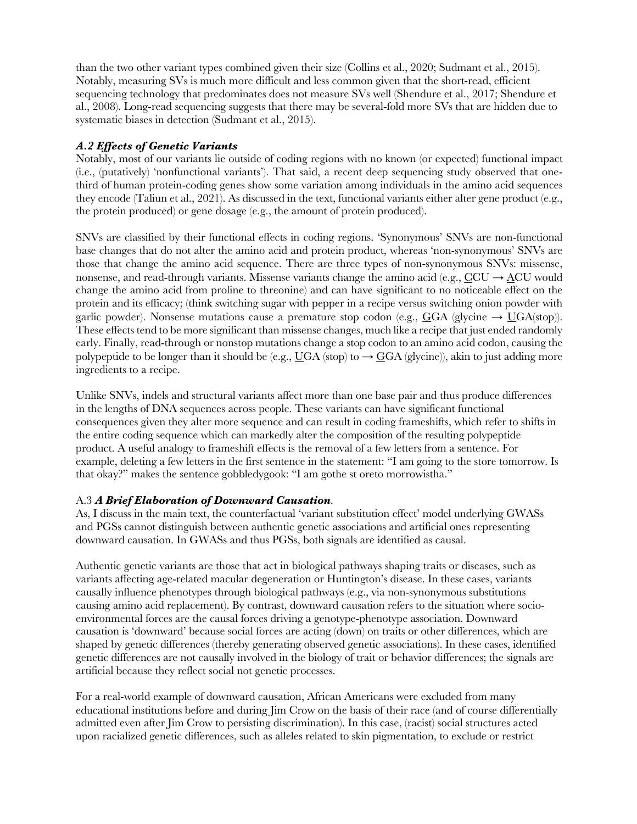than the two other variant types combined given their size (Collins et al., 2020; Sudmant et al., 2015). Notably, measuring SVs is much more difficult and less common given that the short-read, efficient sequencing technology that predominates does not measure SVs well (Shendure et al., 2017; Shendure et al., 2008). Long-read sequencing suggests that there may be several-fold more SVs that are hidden due to systematic biases in detection (Sudmant et al., 2015).

# *A.2 Effects of Genetic Variants*

Notably, most of our variants lie outside of coding regions with no known (or expected) functional impact (i.e., (putatively) 'nonfunctional variants'). That said, a recent deep sequencing study observed that onethird of human protein-coding genes show some variation among individuals in the amino acid sequences they encode (Taliun et al., 2021). As discussed in the text, functional variants either alter gene product (e.g., the protein produced) or gene dosage (e.g., the amount of protein produced).

SNVs are classified by their functional effects in coding regions. 'Synonymous' SNVs are non-functional base changes that do not alter the amino acid and protein product, whereas 'non-synonymous' SNVs are those that change the amino acid sequence. There are three types of non-synonymous SNVs: missense, nonsense, and read-through variants. Missense variants change the amino acid (e.g.,  $CCU \rightarrow ACU$  would change the amino acid from proline to threonine) and can have significant to no noticeable effect on the protein and its efficacy; (think switching sugar with pepper in a recipe versus switching onion powder with garlic powder). Nonsense mutations cause a premature stop codon (e.g., GGA (glycine  $\rightarrow$  UGA(stop)). These effects tend to be more significant than missense changes, much like a recipe that just ended randomly early. Finally, read-through or nonstop mutations change a stop codon to an amino acid codon, causing the polypeptide to be longer than it should be (e.g., UGA (stop) to  $\rightarrow$  GGA (glycine)), akin to just adding more ingredients to a recipe.

Unlike SNVs, indels and structural variants affect more than one base pair and thus produce differences in the lengths of DNA sequences across people. These variants can have significant functional consequences given they alter more sequence and can result in coding frameshifts, which refer to shifts in the entire coding sequence which can markedly alter the composition of the resulting polypeptide product. A useful analogy to frameshift effects is the removal of a few letters from a sentence. For example, deleting a few letters in the first sentence in the statement: "I am going to the store tomorrow. Is that okay?" makes the sentence gobbledygook: "I am gothe st oreto morrowistha."

# A.3 *A Brief Elaboration of Downward Causation*.

As, I discuss in the main text, the counterfactual 'variant substitution effect' model underlying GWASs and PGSs cannot distinguish between authentic genetic associations and artificial ones representing downward causation. In GWASs and thus PGSs, both signals are identified as causal.

Authentic genetic variants are those that act in biological pathways shaping traits or diseases, such as variants affecting age-related macular degeneration or Huntington's disease. In these cases, variants causally influence phenotypes through biological pathways (e.g., via non-synonymous substitutions causing amino acid replacement). By contrast, downward causation refers to the situation where socioenvironmental forces are the causal forces driving a genotype-phenotype association. Downward causation is 'downward' because social forces are acting (down) on traits or other differences, which are shaped by genetic differences (thereby generating observed genetic associations). In these cases, identified genetic differences are not causally involved in the biology of trait or behavior differences; the signals are artificial because they reflect social not genetic processes.

For a real-world example of downward causation, African Americans were excluded from many educational institutions before and during Jim Crow on the basis of their race (and of course differentially admitted even after Jim Crow to persisting discrimination). In this case, (racist) social structures acted upon racialized genetic differences, such as alleles related to skin pigmentation, to exclude or restrict